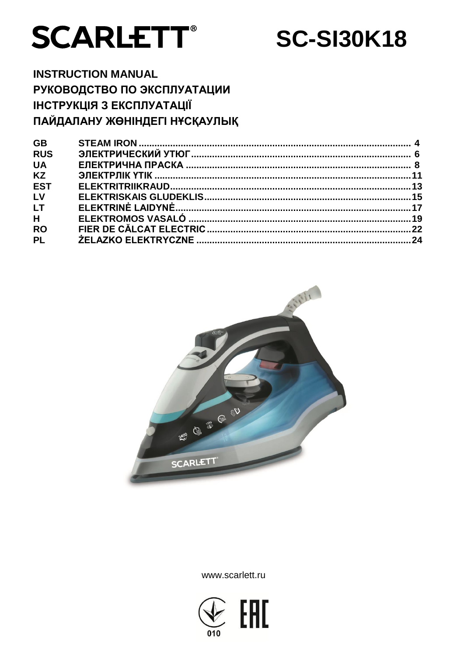

**SC-SI30K18** 

**INSTRUCTION MANUAL** РУКОВОДСТВО ПО ЭКСПЛУАТАЦИИ ІНСТРУКЦІЯ З ЕКСПЛУАТАЦІЇ ПАЙДАЛАНУ ЖӨНІНДЕГІ НҰСҚАУЛЫҚ

| <b>GB</b>  |  |
|------------|--|
| <b>RUS</b> |  |
| <b>UA</b>  |  |
| <b>KZ</b>  |  |
| <b>EST</b> |  |
| LV         |  |
| <b>LT</b>  |  |
| H          |  |
| <b>RO</b>  |  |
| <b>PL</b>  |  |
|            |  |



www.scarlett.ru

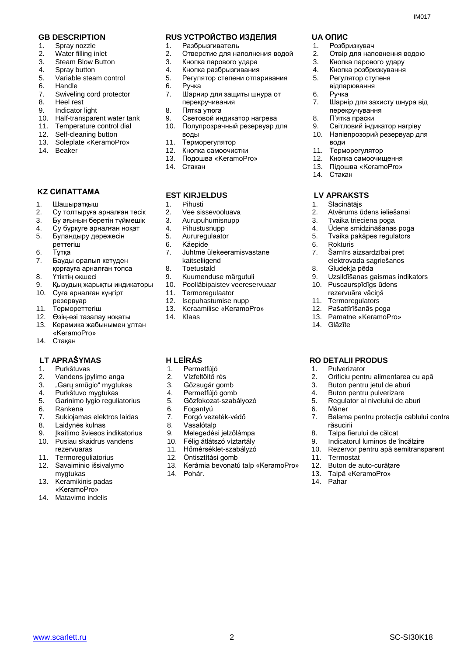- 1. Spray nozzle
- 2. Water filling inlet
- 3. Steam Blow Button
- 4. Spray button
- 5. Variable steam control
- 6. Handle
- 7. Swiveling cord protector
- 8. Heel rest
- 9. Indicator light
- 10. Half-transparent water tank
- 11. Temperature control dial
- 12. Self-cleaning button<br>13. Soleplate «KeramoP
- 13. Soleplate «KeramoPro»
- 14. Beaker

## **KZ СИПАТТАМА**

- 1. Шашыратқыш
- 2. Су толтыруға арналған тесік
- 3. Бу ағынын беретін түймешік
- 4. Су бүркуге арналған ноқат<br>5. Буландыру дәрежесін
- 5. Буландыру дәрежесін
- реттегіш
- 6. Тұтқа
- 7. Бауды оралып кетуден қорғауға арналған топса
- 8. Үтіктің өкшесі
- 9. Қызудың жарықты индикаторы<br>10. Суға арналған күнгірт
- 10. Суға арналған күңгірт
- резервуар
- 11. Термореттегіш
- 12. Өзің-өзі тазалау ноқаты
- 13. Керамика жабынымен ұлтан «KeramoPro»
- 14. Стақан

#### **LT APRAŠYMAS H LEÍRÁS RO DETALII PRODUS**

- 1. Purkštuvas
- 2. Vandens įpylimo anga
- 3. "Garų smūgio" mygtukas
- 4. Purkštuvo mygtukas
- 5. Garinimo lygio reguliatorius
- 6. Rankena
- 7. Sukiojamas elektros laidas
- 8. Laidynės kulnas
- 9. Ikaitimo šviesos indikatorius
- 10. Pusiau skaidrus vandens rezervuaras
- 11. Termoreguliatorius
- 12. Savaiminio išsivalymo mygtukas
- 13. Keramikinis padas «KeramoPro»
- 14. Matavimo indelis

## **GB DESCRIPTION RUS УСТРОЙСТВО ИЗДЕЛИЯ UA ОПИС**

- 1. Разбрызгиватель
- 2. Отверстие для наполнения водой
- 3. Кнопка парового удара
- 4. Кнопка разбрызгивания
- 5. Регулятор степени отпаривания
- 6. Ручка
- 7. Шарнир для защиты шнура от перекручивания
- 8. Пятка утюга
- 9. Световой индикатор нагрева
- 10. Полупрозрачный резервуар для воды
- 11. Терморегулятор
- 12. Кнопка самоочистки
- 13. Подошва «KeramoPro»
- 14. Стакан

#### **EST KIRJELDUS**

- 1. Pihusti
- 2. Vee sissevooluava
- 3. Aurupuhumisnupp<br>4. Pihustusnupp
- 4. Pihustusnupp<br>5. Aururegulaato
- Aururegulaator
- 6. Käepide<br>7. Juhtme i
- 7. Juhtme ülekeeramisvastane kaitseliigend
- 8. Toetustald
- 9. Kuumenduse märgutuli<br>10. Poolläbipaistev veerese
- 10. Poolläbipaistev veereservuaar
- 11. Termoregulaator
- 12. Isepuhastumise nupp
- 13. Keraamilise «KeramoPro»
- 14. Klaas

- 1. Permetfújó
- 2. Vízfeltöltő rés
- 3. Gőzsugár gomb
- 4. Permetfújó gomb
- 5. Gőzfokozat-szabályozó
- 6. Fogantyú
- 7. Forgó vezeték-védő
- 8. Vasalótalp
- 9. Melegedési jelzőlámpa
- 10. Félig átlátszó víztartály
- 11. Hőmérséklet-szabályzó
- 12. Öntisztítási gomb
- 13. Kerámia bevonatú talp «KeramoPro»

www.scarlett.ru SC-SI30K18

14. Pohár.

- 1. Розбризкувач
- 2. Отвір для наповнення водою

7. Шарнір для захисту шнура від

9. Світловий індикатор нагріву 10. Напівпрозорий резервуар для

Кнопка самоочищення 13. Підошва «KeramoPro»

2. Atvērums ūdens ieliešanai 3. Tvaika trieciena poga<br>4. Ūdens smidzināšanas 4. Ūdens smidzināšanas poga<br>5. Tvaika pakāpes regulators 5. Tvaika pakāpes regulators

> Šarnīrs aizsardzībai pret elektrovada sagriešanos

Uzsildīšanas gaismas indikators

2. Orificiu pentru alimentarea cu apă 3. Buton pentru jetul de aburi 4. Buton pentru pulverizare 5. Regulator al nivelului de aburi

7. Balama pentru protecția cablului contra

- 3. Кнопка парового удару
- 4. Кнопка розбризкування

перекручування 8. П'ятка праски

- 5. Регулятор ступеня відпарювання
- 6. Ручка

води

14. Стакан

 **LV APRAKSTS**

1. Slacinātājs

6. Rokturis<br>7. Šarnīrs

14. Glāzīte

1. Pulverizator

răsucirii

11. Termostat

14. Pahar

8. Talpa fierului de călcat 9. Indicatorul luminos de încălzire 10. Rezervor pentru apă semitransparent

12. Buton de auto-curățare 13. Talpă «KeramoPro»

6. Mâner

8. Gludekļa pēda

10. Puscaurspīdīgs ūdens rezervuāra vāciņš 11. Termoregulators 12. Pašattīrīšanās poga 13. Pamatne «KeramoPro»

11. Терморегулятор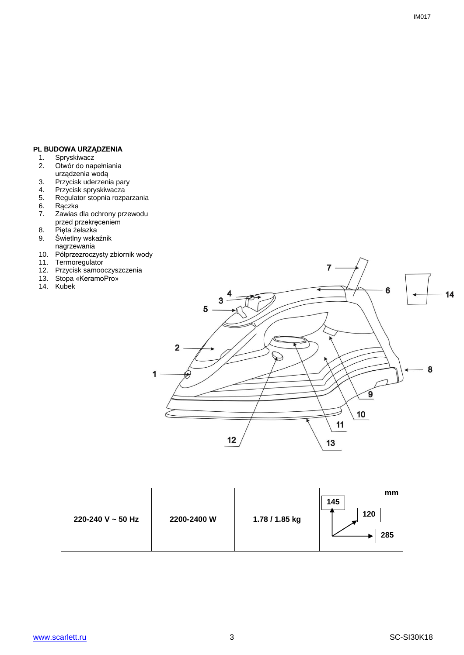# **PL BUDOWA URZĄDZENIA**<br>1. Spryskiwacz<br>2. Otwór do napełniania

- 1. Spryskiwacz
- 2. Otwór do napełniania urządzenia wodą
- 3. Przycisk uderzenia pary
- 4. Przycisk spryskiwacza
- 5. Regulator stopnia rozparzania 6. Rączka<br>7. Zawias
- 7. Zawias dla ochrony przewodu przed przekręceniem
- 
- 8. Pięta żelazka<br>9. Świetlny wska 9. Świetlny wskaźnik nagrzewania
- 10. Półprzezroczysty zbiornik wody
- 11. Termoregulator
- 12. Przycisk samooczyszczenia
- 13. Stopa «KeramoPro»
- 14. Kubek



| 220-240 V $\sim$ 50 Hz | 2200-2400 W | 1.78 / 1.85 kg | mm<br>145<br>120<br>285 |
|------------------------|-------------|----------------|-------------------------|
|------------------------|-------------|----------------|-------------------------|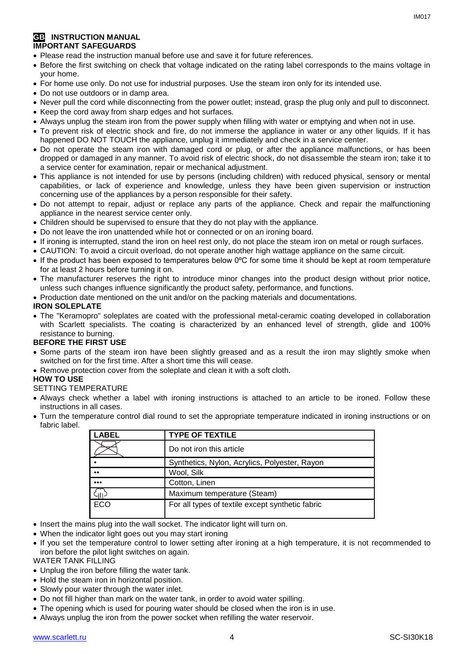# **GB** INSTRUCTION MANUAL **IMPORTANT SAFEGUARDS**

- Please read the instruction manual before use and save it for future references.
- Before the first switching on check that voltage indicated on the rating label corresponds to the mains voltage in your home.
- For home use only. Do not use for industrial purposes. Use the steam iron only for its intended use.
- Do not use outdoors or in damp area.
- Never pull the cord while disconnecting from the power outlet; instead, grasp the plug only and pull to disconnect.
- Keep the cord away from sharp edges and hot surfaces.
- Always unplug the steam iron from the power supply when filling with water or emptying and when not in use.
- To prevent risk of electric shock and fire, do not immerse the appliance in water or any other liquids. If it has happened DO NOT TOUCH the appliance, unplug it immediately and check in a service center.
- Do not operate the steam iron with damaged cord or plug, or after the appliance malfunctions, or has been dropped or damaged in any manner. To avoid risk of electric shock, do not disassemble the steam iron; take it to a service center for examination, repair or mechanical adjustment.
- This appliance is not intended for use by persons (including children) with reduced physical, sensory or mental capabilities, or lack of experience and knowledge, unless they have been given supervision or instruction concerning use of the appliances by a person responsible for their safety.
- Do not attempt to repair, adjust or replace any parts of the appliance. Check and repair the malfunctioning appliance in the nearest service center only.
- Children should be supervised to ensure that they do not play with the appliance.
- Do not leave the iron unattended while hot or connected or on an ironing board.
- If ironing is interrupted, stand the iron on heel rest only, do not place the steam iron on metal or rough surfaces.
- CAUTION: To avoid a circuit overload, do not operate another high wattage appliance on the same circuit.
- If the product has been exposed to temperatures below 0ºC for some time it should be kept at room temperature for at least 2 hours before turning it on.
- The manufacturer reserves the right to introduce minor changes into the product design without prior notice, unless such changes influence significantly the product safety, performance, and functions.
- Production date mentioned on the unit and/or on the packing materials and documentations.

# **IRON SOLEPLATE**

 The "Keramopro" soleplates are coated with the professional metal-ceramic coating developed in collaboration with Scarlett specialists. The coating is characterized by an enhanced level of strength, glide and 100% resistance to burning.

# **BEFORE THE FIRST USE**

- Some parts of the steam iron have been slightly greased and as a result the iron may slightly smoke when switched on for the first time. After a short time this will cease.
- Remove protection cover from the soleplate and clean it with a soft cloth.

# **HOW TO USE**

# SETTING TEMPERATURE

- Always check whether a label with ironing instructions is attached to an article to be ironed. Follow these instructions in all cases.
- Turn the temperature control dial round to set the appropriate temperature indicated in ironing instructions or on fabric label.

| .ABEL                   | <b>TYPE OF TEXTILE</b>                           |
|-------------------------|--------------------------------------------------|
|                         | Do not iron this article                         |
|                         | Synthetics, Nylon, Acrylics, Polyester, Rayon    |
|                         | Wool, Silk                                       |
| $\bullet\bullet\bullet$ | Cotton, Linen                                    |
|                         | Maximum temperature (Steam)                      |
| ECO                     | For all types of textile except synthetic fabric |

- Insert the mains plug into the wall socket. The indicator light will turn on.
- When the indicator light goes out you may start ironing
- If you set the temperature control to lower setting after ironing at a high temperature, it is not recommended to iron before the pilot light switches on again.

WATER TANK FILLING

- Unplug the iron before filling the water tank.
- Hold the steam iron in horizontal position.
- Slowly pour water through the water inlet.
- Do not fill higher than mark on the water tank, in order to avoid water spilling.
- The opening which is used for pouring water should be closed when the iron is in use.
- Always unplug the iron from the power socket when refilling the water reservoir.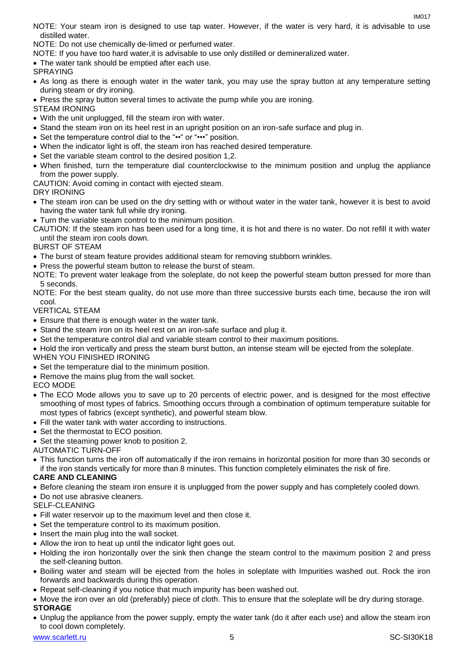$INAO17$ 

NOTE: Your steam iron is designed to use tap water. However, if the water is very hard, it is advisable to use distilled water.

NOTE: Do not use chemically de-limed or perfumed water.

NOTE: If you have too hard water,it is advisable to use only distilled or demineralized water.

The water tank should be emptied after each use.

SPRAYING

- As long as there is enough water in the water tank, you may use the spray button at any temperature setting during steam or dry ironing.
- Press the spray button several times to activate the pump while you are ironing.
- STEAM IRONING
- With the unit unplugged, fill the steam iron with water.
- Stand the steam iron on its heel rest in an upright position on an iron-safe surface and plug in.
- Set the temperature control dial to the "••" or "•••" position.
- When the indicator light is off, the steam iron has reached desired temperature.
- Set the variable steam control to the desired position 1,2.
- When finished, turn the temperature dial counterclockwise to the minimum position and unplug the appliance from the power supply.

CAUTION: Avoid coming in contact with ejected steam.

DRY IRONING

- The steam iron can be used on the dry setting with or without water in the water tank, however it is best to avoid having the water tank full while dry ironing.
- Turn the variable steam control to the minimum position.
- CAUTION: If the steam iron has been used for a long time, it is hot and there is no water. Do not refill it with water until the steam iron cools down.

# BURST OF STEAM

- The burst of steam feature provides additional steam for removing stubborn wrinkles.
- Press the powerful steam button to release the burst of steam.
- NOTE: To prevent water leakage from the soleplate, do not keep the powerful steam button pressed for more than 5 seconds.

NOTE: For the best steam quality, do not use more than three successive bursts each time, because the iron will cool.

# VERTICAL STEAM

- Ensure that there is enough water in the water tank.
- Stand the steam iron on its heel rest on an iron-safe surface and plug it.
- Set the temperature control dial and variable steam control to their maximum positions.
- Hold the iron vertically and press the steam burst button, an intense steam will be ejected from the soleplate.

WHEN YOU FINISHED IRONING

- Set the temperature dial to the minimum position.
- Remove the mains plug from the wall socket.

# ECO MODE

- The ECO Mode allows you to save up to 20 percents of electric power, and is designed for the most effective smoothing of most types of fabrics. Smoothing occurs through a combination of optimum temperature suitable for most types of fabrics (except synthetic), and powerful steam blow.
- Fill the water tank with water according to instructions.
- Set the thermostat to ECO position.
- Set the steaming power knob to position 2.

AUTOMATIC TURN-OFF

 This function turns the iron off automatically if the iron remains in horizontal position for more than 30 seconds or if the iron stands vertically for more than 8 minutes. This function completely eliminates the risk of fire.

# **CARE AND CLEANING**

- Before cleaning the steam iron ensure it is unplugged from the power supply and has completely cooled down.
- Do not use abrasive cleaners.

# SELE-CLEANING

- Fill water reservoir up to the maximum level and then close it.
- Set the temperature control to its maximum position.
- Insert the main plug into the wall socket.
- Allow the iron to heat up until the indicator light goes out.
- Holding the iron horizontally over the sink then change the steam control to the maximum position 2 and press the self-cleaning button.
- Boiling water and steam will be ejected from the holes in soleplate with Impurities washed out. Rock the iron forwards and backwards during this operation.
- Repeat self-cleaning if you notice that much impurity has been washed out.
- Move the iron over an old (preferably) piece of cloth. This to ensure that the soleplate will be dry during storage. **STORAGE**
- Unplug the appliance from the power supply, empty the water tank (do it after each use) and allow the steam iron to cool down completely.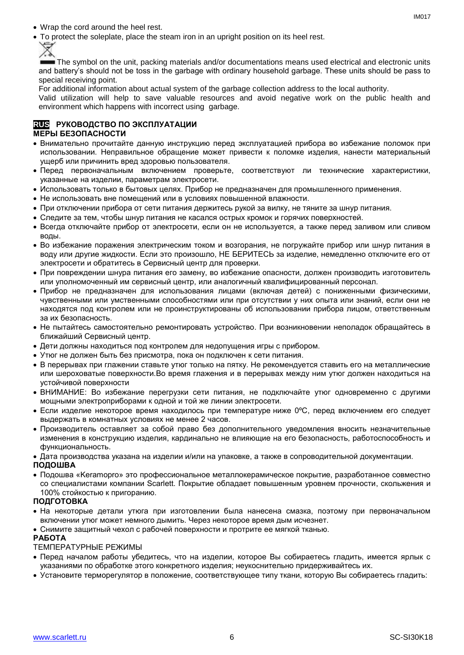- Wrap the cord around the heel rest.
- To protect the soleplate, place the steam iron in an upright position on its heel rest.

The symbol on the unit, packing materials and/or documentations means used electrical and electronic units and battery's should not be toss in the garbage with ordinary household garbage. These units should be pass to special receiving point.

For additional information about actual system of the garbage collection address to the local authority.

Valid utilization will help to save valuable resources and avoid negative work on the public health and environment which happens with incorrect using garbage.

# **RUS РУКОВОДСТВО ПО ЭКСПЛУАТАЦИИ МЕРЫ БЕЗОПАСНОСТИ**

- Внимательно прочитайте данную инструкцию перед эксплуатацией прибора во избежание поломок при использовании. Неправильное обращение может привести к поломке изделия, нанести материальный ущерб или причинить вред здоровью пользователя.
- Перед первоначальным включением проверьте, соответствуют ли технические характеристики, указанные на изделии, параметрам электросети.
- Использовать только в бытовых целях. Прибор не предназначен для промышленного применения.
- Не использовать вне помещений или в условиях повышенной влажности.
- При отключении прибора от сети питания держитесь рукой за вилку, не тяните за шнур питания.
- Следите за тем, чтобы шнур питания не касался острых кромок и горячих поверхностей.
- Всегда отключайте прибор от электросети, если он не используется, а также перед заливом или сливом воды.
- Во избежание поражения электрическим током и возгорания, не погружайте прибор или шнур питания в воду или другие жидкости. Если это произошло, НЕ БЕРИТЕСЬ за изделие, немедленно отключите его от электросети и обратитесь в Сервисный центр для проверки.
- При повреждении шнура питания его замену, во избежание опасности, должен производить изготовитель или уполномоченный им сервисный центр, или аналогичный квалифицированный персонал.
- Прибор не предназначен для использования лицами (включая детей) с пониженными физическими, чувственными или умственными способностями или при отсутствии у них опыта или знаний, если они не находятся под контролем или не проинструктированы об использовании прибора лицом, ответственным за их безопасность.
- Не пытайтесь самостоятельно ремонтировать устройство. При возникновении неполадок обращайтесь в ближайший Сервисный центр.
- Дети должны находиться под контролем для недопущения игры с прибором.
- Утюг не должен быть без присмотра, пока он подключен к сети питания.
- В перерывах при глажении ставьте утюг только на пятку. Не рекомендуется ставить его на металлические или шероховатые поверхности.Во время глажения и в перерывах между ним утюг должен находиться на устойчивой поверхности
- ВНИМАНИЕ: Во избежание перегрузки сети питания, не подключайте утюг одновременно с другими мощными электроприборами к одной и той же линии электросети.
- Если изделие некоторое время находилось при температуре ниже 0ºC, перед включением его следует выдержать в комнатных условиях не менее 2 часов.
- Производитель оставляет за собой право без дополнительного уведомления вносить незначительные изменения в конструкцию изделия, кардинально не влияющие на его безопасность, работоспособность и функциональность.
- Дата производства указана на изделии и/или на упаковке, а также в сопроводительной документации.

#### **ПОДОШВА**

 Подошва «Keramopro» это профессиональное металлокерамическое покрытие, разработанное совместно со специалистами компании Scarlett. Покрытие обладает повышенным уровнем прочности, скольжения и 100% стойкостью к пригоранию.

# **ПОДГОТОВКА**

- На некоторые детали утюга при изготовлении была нанесена смазка, поэтому при первоначальном включении утюг может немного дымить. Через некоторое время дым исчезнет.
- Снимите защитный чехол с рабочей поверхности и протрите ее мягкой тканью.

# **РАБОТА**

ТЕМПЕРАТУРНЫЕ РЕЖИМЫ

- Перед началом работы убедитесь, что на изделии, которое Вы собираетесь гладить, имеется ярлык с указаниями по обработке этого конкретного изделия; неукоснительно придерживайтесь их.
- Установите терморегулятор в положение, соответствующее типу ткани, которую Вы собираетесь гладить: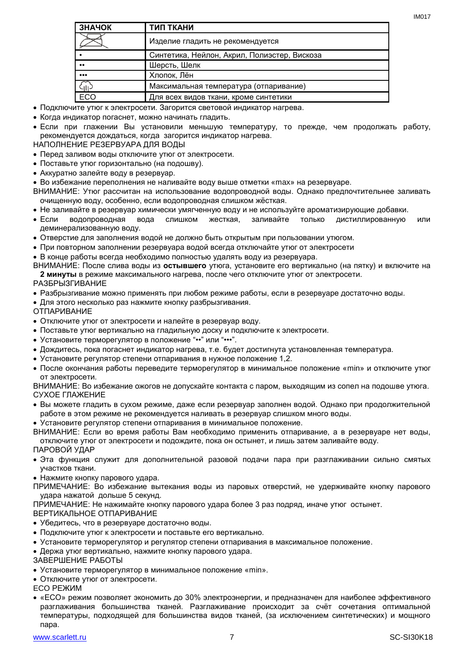| ЗНАЧОК           | ТИП ТКАНИ                                    |
|------------------|----------------------------------------------|
|                  | Изделие гладить не рекомендуется             |
| $\bullet$        | Синтетика, Нейлон, Акрил, Полиэстер, Вискоза |
| $\bullet\bullet$ | Шерсть, Шелк                                 |
| $\cdots$         | Хлопок, Лён                                  |
| 유                | Максимальная температура (отпаривание)       |
| ECO              | Для всех видов ткани, кроме синтетики        |

Подключите утюг к электросети. Загорится световой индикатор нагрева.

Когда индикатор погаснет, можно начинать гладить.

 Если при глажении Вы установили меньшую температуру, то прежде, чем продолжать работу, рекомендуется дождаться, когда загорится индикатор нагрева.

НАПОЛНЕНИЕ РЕЗЕРВУАРА ДЛЯ ВОДЫ

- Перед заливом воды отключите утюг от электросети.
- Поставьте утюг горизонтально (на подошву).
- Аккуратно залейте воду в резервуар.
- Во избежание переполнения не наливайте воду выше отметки «max» на резервуаре.

ВНИМАНИЕ: Утюг рассчитан на использование водопроводной воды. Однако предпочтительнее заливать очищенную воду, особенно, если водопроводная слишком жёсткая.

- Не заливайте в резервуар химически умягченную воду и не используйте ароматизирующие добавки.
- Если водопроводная вода слишком жесткая, заливайте только дистиллированную или деминерализованную воду.
- Отверстие для заполнения водой не должно быть открытым при пользовании утюгом.
- При повторном заполнении резервуара водой всегда отключайте утюг от электросети
- В конце работы всегда необходимо полностью удалять воду из резервуара.

ВНИМАНИЕ: После слива воды из **остывшего** утюга, установите его вертикально (на пятку) и включите на **2 минуты** в режиме максимального нагрева, после чего отключите утюг от электросети.

# РАЗБРЫЗГИВАНИЕ

- Разбрызгивание можно применять при любом режиме работы, если в резервуаре достаточно воды.
- Для этого несколько раз нажмите кнопку разбрызгивания.
- ОТПАРИВАНИЕ
- Отключите утюг от электросети и налейте в резервуар воду.
- Поставьте утюг вертикально на гладильную доску и подключите к электросети.
- Установите терморегулятор в положение "••" или "•••".
- Дождитесь, пока погаснет индикатор нагрева, т.е. будет достигнута установленная температура.
- Установите регулятор степени отпаривания в нужное положение 1,2.
- После окончания работы переведите терморегулятор в минимальное положение «min» и отключите утюг от электросети.

ВНИМАНИЕ: Во избежание ожогов не допускайте контакта с паром, выходящим из сопел на подошве утюга. СУХОЕ ГЛАЖЕНИЕ

- Вы можете гладить в сухом режиме, даже если резервуар заполнен водой. Однако при продолжительной работе в этом режиме не рекомендуется наливать в резервуар слишком много воды.
- Установите регулятор степени отпаривания в минимальное положение.

ВНИМАНИЕ: Если во время работы Вам необходимо применить отпаривание, а в резервуаре нет воды, отключите утюг от электросети и подождите, пока он остынет, и лишь затем заливайте воду. ПАРОВОЙ УДАР

- Эта функция служит для дополнительной разовой подачи пара при разглаживании сильно смятых участков ткани.
- Нажмите кнопку парового удара.

ПРИМЕЧАНИЕ: Во избежание вытекания воды из паровых отверстий, не удерживайте кнопку парового удара нажатой дольше 5 секунд.

ПРИМЕЧАНИЕ: Не нажимайте кнопку парового удара более 3 раз подряд, иначе утюг остынет.

# ВЕРТИКАЛЬНОЕ ОТПАРИВАНИЕ

- Убедитесь, что в резервуаре достаточно воды.
- Подключите утюг к электросети и поставьте его вертикально.
- Установите терморегулятор и регулятор степени отпаривания в максимальное положение.
- Держа утюг вертикально, нажмите кнопку парового удара.
- ЗАВЕРШЕНИЕ РАБОТЫ
- Установите терморегулятор в минимальное положение «min».
- Отключите утюг от электросети.
- ECO РЕЖИМ
- «ECO» режим позволяет экономить до 30% электроэнергии, и предназначен для наиболее эффективного разглаживания большинства тканей. Разглаживание происходит за счёт сочетания оптимальной температуры, подходящей для большинства видов тканей, (за исключением синтетических) и мощного пара.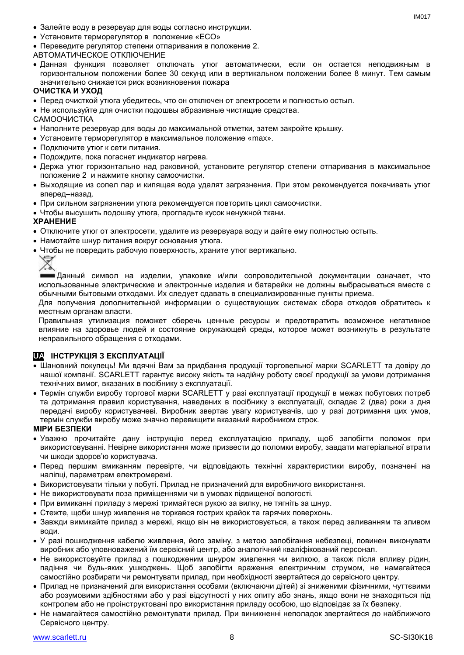- Залейте воду в резервуар для воды согласно инструкции.
- Установите терморегулятор в положение «ECO»
- Переведите регулятор степени отпаривания в положение 2.
- АВТОМАТИЧЕСКОЕ ОТКЛЮЧЕНИЕ
- Данная функция позволяет отключать утюг автоматически, если он остается неподвижным в горизонтальном положении более 30 секунд или в вертикальном положении более 8 минут. Тем самым значительно снижается риск возникновения пожара

# **ОЧИСТКА И УХОД**

- Перед очисткой утюга убедитесь, что он отключен от электросети и полностью остыл.
- Не используйте для очистки подошвы абразивные чистящие средства.
- САМООЧИСТКА
- Наполните резервуар для воды до максимальной отметки, затем закройте крышку.
- Установите терморегулятор в максимальное положение «max».
- Подключите утюг к сети питания.
- Подождите, пока погаснет индикатор нагрева.
- Держа утюг горизонтально над раковиной, установите регулятор степени отпаривания в максимальное положение 2 и нажмите кнопку самоочистки.
- Выходящие из сопел пар и кипящая вода удалят загрязнения. При этом рекомендуется покачивать утюг вперед–назад.
- При сильном загрязнении утюга рекомендуется повторить цикл самоочистки.
- Чтобы высушить подошву утюга, прогладьте кусок ненужной ткани.

## **ХРАНЕНИЕ**

- Отключите утюг от электросети, удалите из резервуара воду и дайте ему полностью остыть.
- Намотайте шнур питания вокруг основания утюга.
- Чтобы не повредить рабочую поверхность, храните утюг вертикально.



**ШЕДанный символ на изделии, упаковке и/или сопроводительной документации означает, что** использованные электрические и электронные изделия и батарейки не должны выбрасываться вместе с обычными бытовыми отходами. Их следует сдавать в специализированные пункты приема.

Для получения дополнительной информации о существующих системах сбора отходов обратитесь к местным органам власти.

Правильная утилизация поможет сберечь ценные ресурсы и предотвратить возможное негативное влияние на здоровье людей и состояние окружающей среды, которое может возникнуть в результате неправильного обращения с отходами.

# **UA ІНСТРУКЦІЯ З ЕКСПЛУАТАЦІЇ**

- Шановний покупець! Ми вдячні Вам за придбання продукції торговельної марки SCARLETT та довіру до нашої компанії. SCARLETT гарантує високу якість та надійну роботу своєї продукції за умови дотримання технічних вимог, вказаних в посібнику з експлуатації.
- Термін служби виробу торгової марки SCARLETT у разі експлуатації продукції в межах побутових потреб та дотримання правил користування, наведених в посібнику з експлуатації, складає 2 (два) роки з дня передачі виробу користувачеві. Виробник звертає увагу користувачів, що у разі дотримання цих умов, термін служби виробу може значно перевищити вказаний виробником строк.

# **МІРИ БЕЗПЕКИ**

- Уважно прочитайте дану інструкцію перед експлуатацією приладу, щоб запобігти поломок при використовуванні. Невірне використання може призвести до поломки виробу, завдати матеріальної втрати чи шкоди здоров'ю користувача.
- Перед першим вмиканням перевірте, чи відповідають технічні характеристики виробу, позначені на наліпці, параметрам електромережі.
- Використовувати тільки у побуті. Прилад не призначений для виробничого використання.
- Не використовувати поза приміщеннями чи в умовах підвищеної вологості.
- При вимиканні приладу з мережі тримайтеся рукою за вилку, не тягніть за шнур.
- Стежте, щоби шнур живлення не торкався гострих крайок та гарячих поверхонь.
- Завжди вимикайте прилад з мережі, якщо він не використовується, а також перед заливанням та зливом води.
- У разі пошкодження кабелю живлення, його заміну, з метою запобігання небезпеці, повинен виконувати виробник або уповноважений їм сервісний центр, або аналогічний кваліфікований персонал.
- Не використовуйте прилад з пошкодженим шнуром живлення чи вилкою, а також після впливу рідин, падіння чи будь-яких ушкоджень. Щоб запобігти враження електричним струмом, не намагайтеся самостійно розбирати чи ремонтувати прилад, при необхідності звертайтеся до сервісного центру.
- Прилад не призначений для використання особами (включаючи дітей) зі зниженими фізичними, чуттєвими або розумовими здібностями або у разі відсутності у них опиту або знань, якщо вони не знаходяться під контролем або не проінструктовані про використання приладу особою, що відповідає за їх безпеку.
- Не намагайтеся самостійно ремонтувати прилад. При виникненні неполадок звертайтеся до найближчого Сервісного центру.

 $INAO17$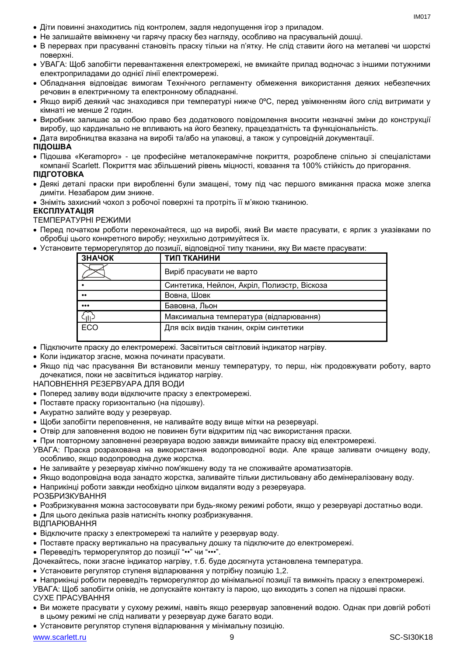- Діти повинні знаходитись під контролем, задля недопущення ігор з приладом.
- Не залишайте ввімкнену чи гарячу праску без нагляду, особливо на прасувальній дошці.
- В перервах при прасуванні становіть праску тільки на п'ятку. Не слід ставити його на металеві чи шорсткі поверхні.
- УВАГА: Щоб запобігти перевантаження електромережі, не вмикайте прилад водночас з іншими потужними електроприладами до однієї лінії електромережі.
- Обладнання відповідає вимогам Технічного регламенту обмеження використання деяких небезпечних речовин в електричному та електронному обладнанні.
- Якщо виріб деякий час знаходився при температурі нижче 0ºC, перед увімкненням його слід витримати у кімнаті не менше 2 годин.
- Виробник залишає за собою право без додаткового повідомлення вносити незначні зміни до конструкції виробу, що кардинально не впливають на його безпеку, працездатність та функціональність.
- Дата виробництва вказана на виробі та/або на упаковці, а також у супровідній документації.

# **ПІДОШВА**

 Підошва «Keramopro» - це професійне металокерамічне покриття, розроблене спільно зі спеціалістами компанії Scarlett. Покриття має збільшений рівень міцності, ковзання та 100% стійкість до пригорання.

# **ПІДГОТОВКА**

- Деякі деталі праски при виробленні були змащені, тому пiд час першого вмикання праска може злегка диміти. Незабаром дим зникне.
- Зніміть захисний чохол з робочої поверхні та протріть її м'якою тканиною.

## **ЕКСПЛУАТАЦІЯ**

ТЕМПЕРАТУРНІ РЕЖИМИ

- Перед початком роботи переконайтеся, що на виробі, який Ви маєте прасувати, є ярлик з указівками по обробці цього конкретного виробу; неухильно дотримуйтеся їх.
- Установите терморегулятор до позиції, відповідної типу тканини, яку Ви маєте прасувати:

| ЗНАЧОК                  | ТИП ТКАНИНИ                                 |
|-------------------------|---------------------------------------------|
|                         | Виріб прасувати не варто                    |
|                         | Синтетика, Нейлон, Акріл, Полиэстр, Віскоза |
| $\bullet\bullet$        | Вовна, Шовк                                 |
| $\bullet\bullet\bullet$ | Бавовна, Льон                               |
|                         | Максимальна температура (відпарювання)      |
| ECO                     | Для всіх видів тканин, окрім синтетики      |

- Підключите праску до електромережі. Засвітиться світловий індикатор нагріву.
- Коли індикатор згасне, можна починати прасувати.
- Якщо пiд час прасування Ви встановили меншу температуру, то перш, ніж продовжувати роботу, варто дочекатися, поки не засвітиться індикатор нагріву.

НАПОВНЕННЯ РЕЗЕРВУАРА ДЛЯ ВОДИ

- Поперед заливу води відключите праску з електромережі.
- Поставте праску горизонтально (на підошву).
- Акуратно залийте воду у резервуар.
- Щоби запобігти переповнення, не наливайте воду вище мітки на резервуарі.
- Отвір для заповнення водою не повинен бути відкритим під час використання праски.
- При повторному заповненні резервуара водою завжди вимикайте праску від електромережі.
- УВАГА: Праска розрахована на використання водопроводної води. Але краще заливати очищену воду, особливо, якщо водопроводна дуже жорстка.
- Не заливайте у резервуар хімічно пом'якшену воду та не споживайте ароматизаторів.
- Якщо водопровідна вода занадто жорстка, заливайте тільки дистильовану або демінералізовану воду.
- Наприкінці роботи завжди необхідно цілком видаляти воду з резервуара.

РОЗБРИЗКУВАННЯ

- Розбризкування можна застосовувати при будь-якому режимі роботи, якщо у резервуарі достатньо води.
- Для цього декілька разів натисніть кнопку розбризкування.
- ВІДПАРЮВАННЯ
- Відключите праску з електромережі та налийте у резервуар воду.
- Поставте праску вертикально на прасувальну дошку та підключите до електромережі.
- Переведіть терморегулятор до позиції "••" чи "•••".

Дочекайтесь, поки згасне індикатор нагріву, т.б. буде досягнута установлена температура.

Установите регулятор ступеня відпарювання у потрібну позицію 1,2.

 Наприкінці роботи переведіть терморегулятор до мінімальної позиції та вимкніть праску з електромережі. УВАГА: Щоб запобігти опіків, не допускайте контакту із парою, що виходить з сопел на підошві праски. СУХЕ ПРАСУВАННЯ

- Ви можете прасувати у сухому режимі, навіть якщо резервуар заповнений водою. Однак при довгій роботі в цьому режимі не слід наливати у резервуар дуже багато води.
- Установите регулятор ступеня відпарювання у мінімальну позицію.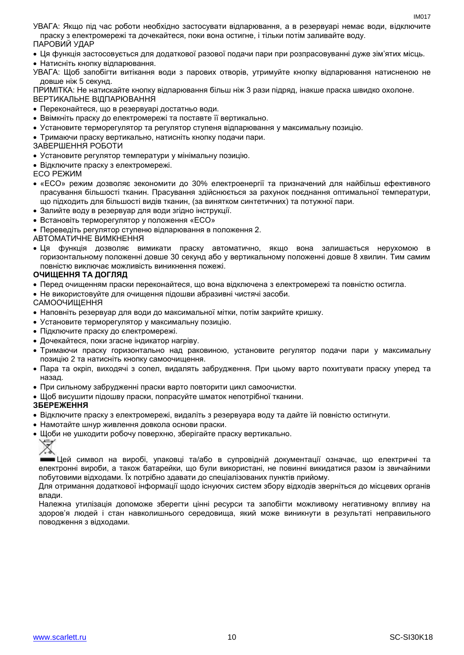УВАГА: Якщо пiд час роботи необхідно застосувати відпарювання, а в резервуарі немає води, відключите праску з електромережі та дочекайтеся, поки вона остигне, і тільки потім заливайте воду. ПАРОВИЙ УДАР

Ця функція застосовується для додаткової разової подачи пари при розпрасовуванні дуже зім'ятих місць.

• Натисніть кнопку відпарювання.

УВАГА: Щоб запобігти витікання води з парових отворів, утримуйте кнопку відпарювання натисненою не довше ніж 5 секунд.

ПРИМІТКА: Не натискайте кнопку відпарювання більш ніж 3 рази підряд, інакше праска швидко охолоне. ВЕРТИКАЛЬНЕ ВІДПАРЮВАННЯ

- Переконайтеся, що в резервуарі достатньо води.
- Ввімкніть праску до електромережі та поставте її вертикально.
- Установите терморегулятор та регулятор ступеня відпарювання у максимальну позицію.
- Тримаючи праску вертикально, натисніть кнопку подачи пари.

ЗАВЕРШЕННЯ РОБОТИ

- Установите регулятор температури у мінімальну позицію.
- Відключите праску з електромережі.

ECO РЕЖИМ

- «ECO» режим дозволяє зекономити до 30% електроенергії та призначений для найбільш ефективного прасування більшості тканин. Прасування здійснюється за рахунок поєднання оптимальної температури, що підходить для більшості видів тканин, (за винятком синтетичних) та потужної пари.
- Залийте воду в резервуар для води згідно інструкції.
- Встановіть терморегулятор у положення «ECO»
- Переведіть регулятор ступеню відпарювання в положення 2.

## АВТОМАТИЧНЕ ВИМКНЕННЯ

 Ця функція дозволяє вимикати праску автоматично, якщо вона залишається нерухомою в горизонтальному положенні довше 30 секунд або у вертикальному положенні довше 8 хвилин. Тим самим повністю виключає можливість виникнення пожежі.

## **ОЧИЩЕННЯ ТА ДОГЛЯД**

- Перед очищенням праски переконайтеся, що вона відключена з електромережі та повністю остигла.
- Не використовуйте для очищення підошви абразивні чистячі засоби.

## САМООЧИЩЕННЯ

- Наповніть резервуар для води до максимальної мітки, потім закрийте кришку.
- Установите терморегулятор у максимальну позицію.
- Підключите праску до єлектромережі.
- Дочекайтеся, поки згасне індикатор нагріву.
- Тримаючи праску горизонтально над раковиною, установите регулятор подачи пари у максимальну позицію 2 та натисніть кнопку самоочищення.
- Пара та окріп, виходячі з сопел, видалять забрудження. При цьому варто похитувати праску уперед та назад.
- При сильному забрудженні праски варто повторити цикл самоочистки.
- Шоб висушити підошву праски, попрасуйте шматок непотрібної тканини.

# **ЗБЕРЕЖЕННЯ**

- Відключите праску з електромережі, видаліть з резервуара воду та дайте їй повністю остигнути.
- Намотайте шнур живлення довкола основи праски.
- Шоби не ушкодити робочу поверхню, зберігайте праску вертикально.

# ∀

Цей символ на виробі, упаковці та/або в супровідній документації означає, що електричні та електронні вироби, а також батарейки, що були використані, не повинні викидатися разом із звичайними побутовими відходами. Їх потрібно здавати до спеціалізованих пунктів прийому.

Для отримання додаткової інформації щодо існуючих систем збору відходів зверніться до місцевих органів влади.

Належна утилізація допоможе зберегти цінні ресурси та запобігти можливому негативному впливу на здоров'я людей і стан навколишнього середовища, який може виникнути в результаті неправильного поводження з відходами.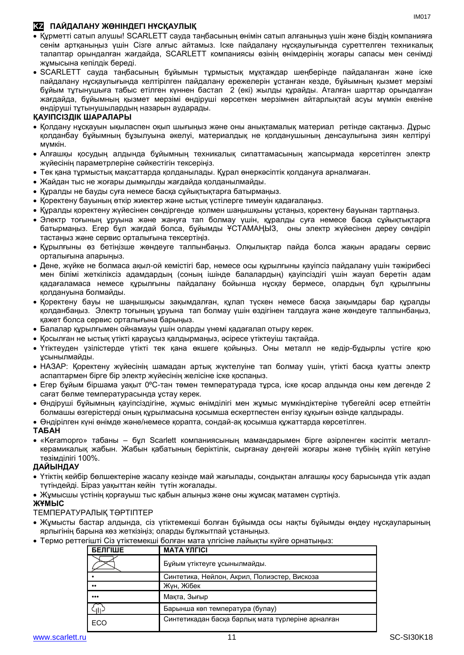# **KZ ПАЙДАЛАНУ ЖӨНІНДЕГІ НҰСҚАУЛЫҚ**

- Құрметті сатып алушы! SCARLETT сауда таңбасының өнімін сатып алғаныңыз үшін және біздің компанияға сенім артқаныңыз үшін Сізге алғыс айтамыз. Іске пайдалану нұсқаулығында суреттелген техникалық талаптар орындалған жағдайда, SCARLETT компаниясы өзінің өнімдерінің жоғары сапасы мен сенімді жұмысына кепілдік береді.
- SCARLETT сауда таңбасының бұйымын тұрмыстық мұқтаждар шеңберінде пайдаланған және іске пайдалану нұсқаулығында келтірілген пайдалану ережелерін ұстанған кезде, бұйымның қызмет мерзімі бұйым тұтынушыға табыс етілген күннен бастап 2 (екі) жылды құрайды. Аталған шарттар орындалған жағдайда, бұйымның қызмет мерзімі өндіруші көрсеткен мерзімнен айтарлықтай асуы мүмкін екеніне өндіруші тұтынушылардың назарын аударады.

# **ҚАУІПСІЗДІК ШАРАЛАРЫ**

- Қолдану нұсқауын ықыласпен оқып шығыңыз және оны анықтамалық материал ретінде сақтаңыз. Дұрыс қолданбау бұйымның бұзылуына әкелуі, материалдық не қолданушының денсаулығына зиян келтіруі мүмкін.
- Алғашқы қосудың алдында бұйымның техникалық сипаттамасының жапсырмада көрсетілген электр жүйесінің параметрлеріне сәйкестігін тексеріңіз.
- Тек қана тұрмыстық мақсаттарда қолданылады. Құрал өнеркәсіптік қолдануға арналмаған.
- Жайдан тыс не жоғары дымқылды жағдайда қолданылмайды.
- Құралды не бауды суға немесе басқа сұйықтықтарға батырмаңыз.
- Қоректену бауының өткір жиектер және ыстық үстілерге тимеуін қадағалаңыз.
- Құралды қоректену жүйесінен сөндіргенде қолмен шаңышқыны ұстаңыз, қоректену бауынан тартпаңыз.
- Электр тоғының ұруына және жануға тап болмау үшін, құралды суға немесе басқа сұйықтықтарға батырмаңыз. Егер бұл жағдай болса, бұйымды ҰСТАМАҢЫЗ, оны электр жүйесінен дереу сөндіріп тастаңыз және сервис орталығына тексертіңіз.
- Құрылғыны өз бетіңізше жөндеуге талпынбаңыз. Олқылықтар пайда болса жақын арадағы сервис орталығына апарыңыз.
- Дене, жүйке не болмаса ақыл-ой кемістігі бар, немесе осы құрылғыны қауіпсіз пайдалану үшін тәжірибесі мен білімі жеткіліксіз адамдардың (соның ішінде балалардың) қауіпсіздігі үшін жауап беретін адам қадағаламаса немесе құрылғыны пайдалану бойынша нұсқау бермесе, олардың бұл құрылғыны қолдануына болмайды.
- Қоректену бауы не шаңышқысы зақымдалған, құлап түскен немесе басқа зақымдары бар құралды қолданбаңыз. Электр тоғының ұруына тап болмау үшін өздігінен талдауға және жөндеуге талпынбаңыз, қажет болса сервис орталығына барыңыз.
- Балалар құрылғымен ойнамауы үшін оларды үнемі қадағалап отыру керек.
- Қосылған не ыстық үтікті қараусыз қалдырмаңыз, әсіресе үтіктеуіш тақтайда.
- Үтіктеуден үзілістерде үтікті тек қана өкшеге қойыңыз. Оны металл не кедір-бұдырлы үстіге қою ұсынылмайды.
- НАЗАР: Қоректену жүйесінің шамадан артық жүктелуіне тап болмау үшін, үтікті басқа қуатты электр аспаптармен бірге бір электр жүйесінің желісіне іске қоспаңыз.
- Егер бұйым біршама уақыт 0ºC-тан төмен температурада тұрса, іске қосар алдында оны кем дегенде 2 сағат бөлме температурасында ұстау керек.
- Өндіруші бұйымның қауіпсіздігіне, жұмыс өнімділігі мен жұмыс мүмкіндіктеріне түбегейлі әсер етпейтін болмашы өзгерістерді оның құрылмасына қосымша ескертпестен енгізу құқығын өзінде қалдырады.
- Өндірілген күні өнімде және/немесе қорапта, сондай-ақ қосымша құжаттарда көрсетілген.

# **ТАБАН**

 «Keramopro» табаны – бұл Scarlett компаниясының мамандарымен бірге әзірленген кәсіптік металлкерамикалық жабын. Жабын қабатының беріктілік, сырғанау деңгейі жоғары және түбінің күйіп кетуіне төзімділігі 100%.

# **ДАЙЫНДАУ**

- Үтіктің кейбір бөлшектеріне жасалу кезінде май жағылады, сондықтан алғашқы қосу барысында үтік аздап түтіндейді. Біраз уақыттан кейін түтін жоғалады.
- Жұмысшы үстінің қорғауыш тыс қабын алыңыз және оны жұмсақ матамен сүртіңіз.

# **ЖҰМЫС**

# ТЕМПЕРАТУРАЛЫҚ ТӘРТІПТЕР

- Жұмысты бастар алдында, сіз үтіктемекші болған бұйымда осы нақты бұйымды өңдеу нұсқауларының ярлыгінің барына көз жеткізіңіз; оларды бұлжытпай ұстаныңыз.
- Термо реттегішті Сіз үтіктемекші болған мата үлгісіне лайықты күйге орнатыңыз:

| <b>БЕЛГІШЕ</b>          | <b>MATA YJIFICI</b>                               |
|-------------------------|---------------------------------------------------|
|                         | Бұйым үтіктеуге ұсынылмайды.                      |
|                         | Синтетика, Нейлон, Акрил, Полиэстер, Вискоза      |
| $^{\bullet\bullet}$     | Жүн, Жібек                                        |
| $\bullet\bullet\bullet$ | Мақта, Зығыр                                      |
|                         | Барынша көп температура (булау)                   |
| ECO                     | Синтетикадан басқа барлық мата түрлеріне арналған |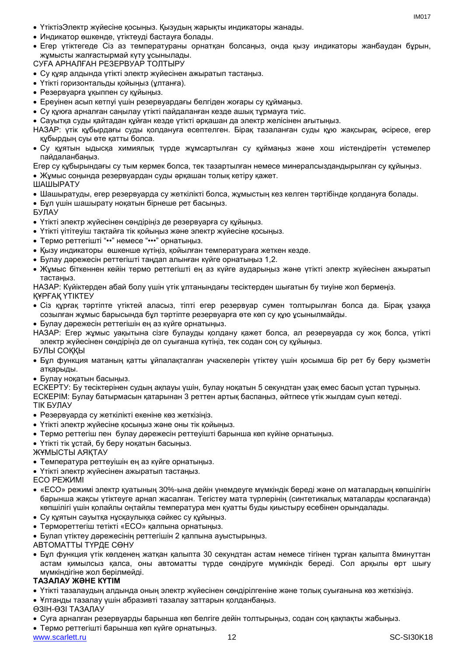- ҮтіктіэЭлектр жүйесіне қосыңыз. Қызудың жарықты индикаторы жанады.
- Индикатор өшкенде, үтіктеуді бастауға болады.
- Егер үтіктегеде Сіз аз температураны орнатқан болсаңыз, онда қызу индикаторы жанбаудан бұрын, жұмысты жалғастырмай күту ұсынылады.

СУҒА АРНАЛҒАН РЕЗЕРВУАР ТОЛТЫРУ

- Су құяр алдында үтікті электр жүйесінен ажыратып тастаңыз.
- Үтікті горизонтальды қойыңыз (ұлтанға).
- Резервуарға ұқыппен су құйыңыз.
- Ереуінен асып кетпуі үшін резервуардағы белгіден жоғары су құймаңыз.
- Су құюға арналған саңылау үтікті пайдаланған кезде ашық тұрмауға тиіс.
- Сауытқа суды қайтадан құйған кезде үтікті әрқашан да электр желісінен ағытыңыз.
- НАЗАР: үтік құбырдағы суды қолдануға есептелген. Бірақ тазаланған суды құю жақсырақ, әсіресе, егер құбырдың суы өте қатты болса.
- Су құятын ыдысқа химиялық түрде жұмсартылған су құймаңыз және хош иістендіретін үстемелер пайдаланбаңыз.
- Егер су құбырындағы су тым кермек болса, тек тазартылған немесе минералсыздандырылған су құйыңыз.

Жұмыс соңында резервуардан суды әрқашан толық кетіру қажет.

## ШАШЫРАТУ

- Шашыратуды, егер резервуарда су жеткілікті болса, жұмыстың кез келген тәртібінде қолдануға болады.
- Бұл үшін шашырату ноқатын бірнеше рет басыңыз.

БУЛАУ

- Үтікті электр жүйесінен сөндіріңіз де резервуарға су құйыңыз.
- Үтікті үітітеуіш тақтайға тік қойыңыз және электр жүйесіне қосыңыз.
- Термо реттегішті "••" немесе "•••" орнатыңыз.
- Қызу индикаторы өшкенше күтіңіз, қойылған температураға жеткен кезде.
- Булау дәрежесін реттегішті таңдап алынған күйге орнатыңыз 1,2.
- Жұмыс біткеннен кейін термо реттегішті ең аз күйге аударыңыз және үтікті электр жүйесінен ажыратып тастаңыз.

НАЗАР: Күйіктерден абай болу үшін үтік ұлтанындағы тесіктерден шығатын бу тиуіне жол бермеңіз. ҚҰРҒАҚ ҮТІКТЕУ

- 
- Сіз құрғақ тәртіпте үтіктей алаcыз, тіпті егер резервуар сумен толтырылған болса да. Бірақ ұзаққа созылған жұмыс барысында бұл тәртіпте резервуарға өте көп су құю ұсынылмайды.
- Булау дәрежесін реттегішін ең аз күйге орнатыңыз.

НАЗАР: Егер жұмыс уақытына сізге булауды қолдану қажет болса, ал резервуарда су жоқ болса, үтікті электр жүйесінен сөндіріңіз де ол суығанша күтіңіз, тек содан соң су құйыңыз.

# БУЛЫ СОҚҚЫ

- Бұл функция матаның қатты ұйпалақталған учаскелерін үтіктеу үшін қосымша бір рет бу беру қызметін атқарыды.
- Булау ноқатын басыңыз.

ЕСКЕРТУ: Бу тесіктерінен судың ақпауы үшін, булау ноқатын 5 секундтан ұзақ емес басып ұстап тұрыңыз. ЕСКЕРІМ: Булау батырмасын қатарынан 3 реттен артық баспаңыз, әйтпесе үтік жылдам суып кетеді. ТІК БУЛАУ

- Резервуарда су жеткілікті екеніне көз жеткізіңіз.
- Үтікті электр жүйесіне қосыңыз және оны тік қойыңыз.
- Термо реттегіш пен булау дәрежесін реттеуішті барынша көп күйіне орнатыңыз.
- Үтікті тік ұстай, бу беру ноқатын басыңыз.

ЖҰМЫСТЫ АЯҚТАУ

- Температура реттеуішін ең аз күйге орнатыңыз.
- Үтікті электр жүйесінен ажыратып тастаңыз.

ECO РЕЖИМІ

- «ECO» режимі электр қуатының 30%-ына дейін үнемдеуге мүмкіндік береді және ол маталардың көпшілігін барынша жақсы үтіктеуге арнап жасалған. Тегістеу мата түрлерінің (синтетикалық маталарды қоспағанда) көпшілігі үшін қолайлы оңтайлы температура мен қуатты буды қиыстыру есебінен орындалады.
- Су құятын сауытқа нұсқаулыққа сәйкес су құйыңыз.
- Термореттегіш тетікті «ECO» қалпына орнатыңыз.
- Булап үтіктеу дәрежесінің реттегішін 2 қалпына ауыстырыңыз.

АВТОМАТТЫ ТҮРДЕ СӨНУ

 Бұл функция үтік көлденең жатқан қалыпта 30 секундтан астам немесе тігінен тұрған қалыпта 8минуттан астам қимылсыз қалса, оны автоматты түрде сөндіруге мүмкіндік береді. Сол арқылы өрт шығу мүмкіндігіне жол берілмейді.

# **ТАЗАЛАУ ЖӘНЕ КҮТІМ**

- Үтікті тазалаудың алдында оның электр жүйесінен сөндірілгеніне және толық суығанына көз жеткізіңіз.
- Ұлтанды тазалау үшін абразивті тазалау заттарын қолданбаңыз.
- ӨЗІН-ӨЗІ ТАЗАЛАУ
- Суға арналған резервуарды барынша көп белгіге дейін толтырыңыз, содан соң қақпақты жабыңыз.
- Термо реттегішті барынша көп күйге орнатыңыз.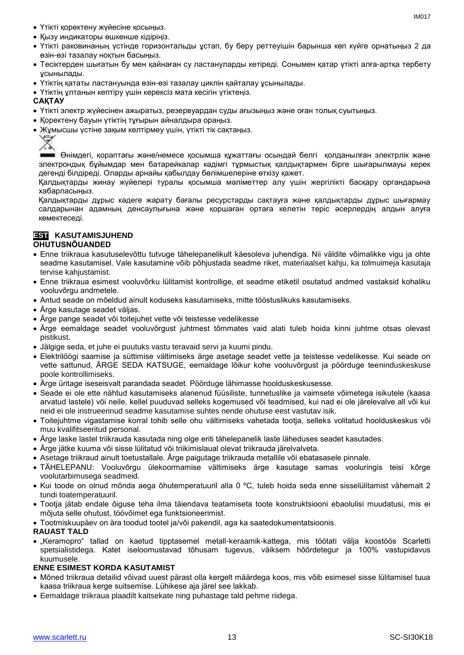- Үтікті қоректену жүйесіне қосыңыз.
- Қызу индикаторы өшкенше кідіріңіз.
- Үтікті раковинаның үстінде горизонтальды ұстап, бу беру реттеуішін барынша көп күйге орнатыңыз 2 да өзін-өзі тазалау ноқтын басыңыз.
- Тесіктерден шығатын бу мен қайнаған су ластануларды кетіреді. Сонымен қатар үтікті алға-артқа тербету ұсынылады.
- Үтіктің қататы ластануында өзін-өзі тазалау циклін қайталау ұсынылады.
- Үтіктің ұлтанын кептіру үшін керексіз мата кесігін үтіктеңіз.

# **САҚТАУ**

- Үтікті электр жүйесінен ажыратыз, резервуардан суды ағызыңыз және оған толық суытыңыз.
- Қоректену бауын үтіктің тұғырын айналдыра ораңыз.
- Жұмысшы үстіне зақым келтірмеу үшін, үтікті тік сақтаңыз.



Өнімдегі, қораптағы және/немесе қосымша құжаттағы осындай белгі қолданылған электрлік және электрондық бұйымдар мен батарейкалар кәдімгі тұрмыстық қалдықтармен бірге шығарылмауы керек дегенді білдіреді. Оларды арнайы қабылдау бөлімшелеріне өткізу қажет.

Қалдықтарды жинау жүйелері туралы қосымша мәліметтер алу үшін жергілікті басқару органдарына хабарласыңыз.

Қалдықтарды дұрыс кәдеге жарату бағалы ресурстарды сақтауға және қалдықтарды дұрыс шығармау салдарынан адамның денсаулығына және қоршаған ортаға келетін теріс әсерлердің алдын алуға көмектеседі.

#### **ESTI KASUTAMISJUHEND OHUTUSNÕUANDED**

- Enne triikraua kasutuselevõttu tutvuge tähelepanelikult käesoleva juhendiga. Nii väldite võimalikke vigu ja ohte seadme kasutamisel. Vale kasutamine võib põhjustada seadme riket, materiaalset kahju, ka tolmuimeja kasutaja tervise kahjustamist.
- Enne triikraua esimest vooluvõrku lülitamist kontrollige, et seadme etiketil osutatud andmed vastaksid kohaliku vooluvõrgu andmetele.
- Antud seade on mõeldud ainult koduseks kasutamiseks, mitte tööstuslikuks kasutamiseks.
- Ärge kasutage seadet väljas.
- Ärge pange seadet või toitejuhet vette või teistesse vedelikesse
- Ärge eemaldage seadet vooluvõrgust juhtmest tõmmates vaid alati tuleb hoida kinni juhtme otsas olevast pistikust.
- Jälgige seda, et juhe ei puutuks vastu teravaid servi ja kuumi pindu.
- Elektrilöögi saamise ja süttimise vältimiseks ärge asetage seadet vette ja teistesse vedelikesse. Kui seade on vette sattunud, ÄRGE SEDA KATSUGE, eemaldage lõikur kohe vooluvõrgust ja pöörduge teeninduskeskuse poole kontrollimiseks.
- Ärge üritage iseseisvalt parandada seadet. Pöörduge lähimasse hoolduskeskusesse.
- Seade ei ole ette nähtud kasutamiseks alanenud füüsiliste, tunnetuslike ja vaimsete võimetega isikutele (kaasa arvatud lastele) või neile, kellel puuduvad selleks kogemused või teadmised, kui nad ei ole järelevalve all või kui neid ei ole instrueerinud seadme kasutamise suhtes nende ohutuse eest vastutav isik.
- Toitejuhtme vigastamise korral tohib selle ohu vältimiseks vahetada tootja, selleks volitatud hoolduskeskus või muu kvalifitseeritud personal.
- Ärge laske lastel triikrauda kasutada ning olge eriti tähelepanelik laste läheduses seadet kasutades.
- Ärge jätke kuuma või sisse lülitatud või triikimislaual olevat triikrauda järelvalveta.
- Asetage triikraud ainult toetustallale. Ärge paigutage triikrauda metallile või ebatasasele pinnale.
- TÄHELEPANU: Vooluvõrgu ülekoormamise vältimiseks ärge kasutage samas vooluringis teisi kõrge voolutarbimusega seadmeid.
- Kui toode on olnud mõnda aega õhutemperatuuril alla 0 ºC, tuleb hoida seda enne sisselülitamist vähemalt 2 tundi toatemperatuuril.
- Tootja jätab endale õiguse teha ilma täiendava teatamiseta toote konstruktsiooni ebaolulisi muudatusi, mis ei mõjuta selle ohutust, töövõimet ega funktsioneerimist.
- Tootmiskuupäev on ära toodud tootel ja/või pakendil, aga ka saatedokumentatsioonis.

# **RAUAST TALD**

 "Keramopro" tallad on kaetud tipptasemel metall-keraamik-kattega, mis töötati välja koostöös Scarletti spetsialistidega. Katet iseloomustavad tõhusam tugevus, väiksem hõõrdetegur ja 100% vastupidavus kuumusele.

# **ENNE ESIMEST KORDA KASUTAMIST**

- Mõned triikraua detailid võivad uuest pärast olla kergelt määrdega koos, mis võib esimesel sisse lülitamisel tuua kaasa triikraua kerge suitsemise. Lühikese aja järel see lakkab.
- Eemaldage triikraua plaadilt kaitsekate ning puhastage tald pehme riidega.

IM<sub>017</sub>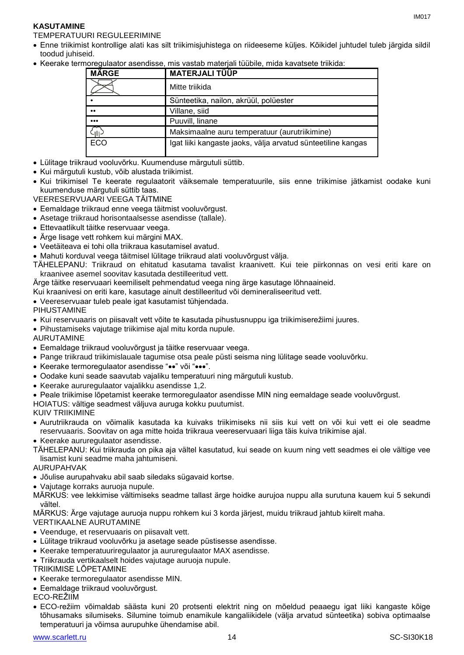# **KASUTAMINE**

TEMPERATUURI REGULEERIMINE

- Enne triikimist kontrollige alati kas silt triikimisjuhistega on riideeseme küljes. Kõikidel juhtudel tuleb järgida sildil toodud juhiseid.
- Keerake termoregulaator asendisse, mis vastab materjali tüübile, mida kavatsete triikida:

| <b>MÄRGE</b>            | <b>MATERJALITÜÜP</b>                                         |
|-------------------------|--------------------------------------------------------------|
|                         | Mitte triikida                                               |
|                         | Sünteetika, nailon, akrüül, polüester                        |
| $\bullet\bullet$        | Villane, siid                                                |
| $\bullet\bullet\bullet$ | Puuvill, linane                                              |
| ٠III                    | Maksimaalne auru temperatuur (aurutriikimine)                |
| ECO                     | Igat liiki kangaste jaoks, välja arvatud sünteetiline kangas |

- Lülitage triikraud vooluvõrku. Kuumenduse märgutuli süttib.
- Kui märgutuli kustub, võib alustada triikimist.
- Kui triikimisel Te keerate regulaatorit väiksemale temperatuurile, siis enne triikimise jätkamist oodake kuni kuumenduse märgutuli süttib taas.
- VEERESERVUAARI VEEGA TÄITMINE
- Eemaldage triikraud enne veega täitmist vooluvõrgust.
- Asetage triikraud horisontaalsesse asendisse (tallale).
- Ettevaatlikult täitke reservuaar veega.
- Ärge lisage vett rohkem kui märgini MAX.
- Veetäiteava ei tohi olla triikraua kasutamisel avatud.
- Mahuti korduval veega täitmisel lülitage triikraud alati vooluvõrgust välja.

TÄHELEPANU: Triikraud on ehitatud kasutama tavalist kraanivett. Kui teie piirkonnas on vesi eriti kare on kraanivee asemel soovitav kasutada destilleeritud vett.

Ärge täitke reservuaari keemiliselt pehmendatud veega ning ärge kasutage lõhnaaineid.

Kui kraanivesi on eriti kare, kasutage ainult destilleeritud või demineraliseeritud vett.

Veereservuaar tuleb peale igat kasutamist tühjendada.

PIHUSTAMINE

- Kui reservuaaris on piisavalt vett võite te kasutada pihustusnuppu iga triikimiserežiimi juures.
- Pihustamiseks vajutage triikimise ajal mitu korda nupule.

AURUTAMINE

- Eemaldage triikraud vooluvõrgust ja täitke reservuaar veega.
- Pange triikraud triikimislauale tagumise otsa peale püsti seisma ning lülitage seade vooluvõrku.
- Keerake termoregulaator asendisse "••" või "•••".
- Oodake kuni seade saavutab vajaliku temperatuuri ning märgutuli kustub.
- Keerake aururegulaator vajalikku asendisse 1,2.
- Peale triikimise lõpetamist keerake termoregulaator asendisse MIN ning eemaldage seade vooluvõrgust.

HOIATUS: vältige seadmest väljuva auruga kokku puutumist.

KUIV TRIIKIMINE

- Aurutriikrauda on võimalik kasutada ka kuivaks triikimiseks nii siis kui vett on või kui vett ei ole seadme reservuaaris. Soovitav on aga mitte hoida triikraua veereservuaari liiga täis kuiva triikimise ajal.
- Keerake aururegulaator asendisse.

TÄHELEPANU: Kui triikrauda on pika aja vältel kasutatud, kui seade on kuum ning vett seadmes ei ole vältige vee lisamist kuni seadme maha jahtumiseni.

AURUPAHVAK

- Jõulise aurupahvaku abil saab siledaks sügavaid kortse.
- Vajutage korraks auruoja nupule.

MÄRKUS: vee lekkimise vältimiseks seadme tallast ärge hoidke aurujoa nuppu alla surutuna kauem kui 5 sekundi vältel.

MÄRKUS: Ärge vajutage auruoja nuppu rohkem kui 3 korda järjest, muidu triikraud jahtub kiirelt maha.

VERTIKAALNE AURUTAMINE

- Veenduge, et reservuaaris on piisavalt vett.
- Lülitage triikraud vooluvõrku ja asetage seade püstisesse asendisse.
- Keerake temperatuuriregulaator ja aururegulaator MAX asendisse.
- Triikrauda vertikaalselt hoides vajutage auruoja nupule.

TRIIKIMISE LÕPETAMINE

- Keerake termoregulaator asendisse MIN.
- Eemaldage triikraud vooluvõrgust.

ECO-REŽIIM

 ECO-režiim võimaldab säästa kuni 20 protsenti elektrit ning on mõeldud peaaegu igat liiki kangaste kõige tõhusamaks silumiseks. Silumine toimub enamikule kangaliikidele (välja arvatud sünteetika) sobiva optimaalse temperatuuri ja võimsa aurupuhke ühendamise abil.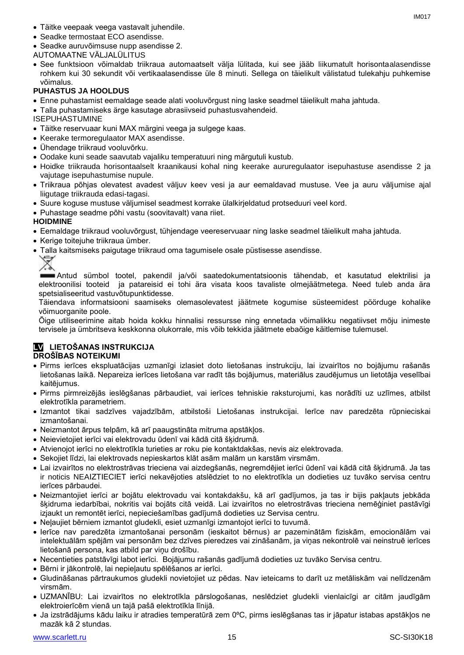- Täitke veepaak veega vastavalt juhendile.
- Seadke termostaat ECO asendisse.
- Seadke auruvõimsuse nupp asendisse 2.
- AUTOMAATNE VÄLJALÜLITUS
- See funktsioon võimaldab triikraua automaatselt välja lülitada, kui see jääb liikumatult horisontaalasendisse rohkem kui 30 sekundit või vertikaalasendisse üle 8 minuti. Sellega on täielikult välistatud tulekahju puhkemise võimalus.

# **PUHASTUS JA HOOLDUS**

- Enne puhastamist eemaldage seade alati vooluvõrgust ning laske seadmel täielikult maha jahtuda.
- Talla puhastamiseks ärge kasutage abrasiivseid puhastusvahendeid.

ISEPUHASTUMINE

- Täitke reservuaar kuni MAX märgini veega ja sulgege kaas.
- Keerake termoregulaator MAX asendisse.
- Ühendage triikraud vooluvõrku.
- Oodake kuni seade saavutab vajaliku temperatuuri ning märgutuli kustub.
- Hoidke triikrauda horisontaalselt kraanikausi kohal ning keerake aururegulaator isepuhastuse asendisse 2 ja vajutage isepuhastumise nupule.
- Triikraua põhjas olevatest avadest väljuv keev vesi ja aur eemaldavad mustuse. Vee ja auru väljumise ajal liigutage triikrauda edasi-tagasi.
- Suure koguse mustuse väljumisel seadmest korrake ülalkirjeldatud protseduuri veel kord.
- Puhastage seadme põhi vastu (soovitavalt) vana riiet.

# **HOIDMINE**

- Eemaldage triikraud vooluvõrgust, tühjendage veereservuaar ning laske seadmel täielikult maha jahtuda.
- Kerige toitejuhe triikraua ümber.
- Talla kaitsmiseks paigutage triikraud oma tagumisele osale püstisesse asendisse.

Antud sümbol tootel, pakendil ja/või saatedokumentatsioonis tähendab, et kasutatud elektrilisi ja elektroonilisi tooteid ja patareisid ei tohi ära visata koos tavaliste olmejäätmetega. Need tuleb anda ära spetsialiseeritud vastuvõtupunktidesse.

Täiendava informatsiooni saamiseks olemasolevatest jäätmete kogumise süsteemidest pöörduge kohalike võimuorganite poole.

Õige utiliseerimine aitab hoida kokku hinnalisi ressursse ning ennetada võimalikku negatiivset mõju inimeste tervisele ja ümbritseva keskkonna olukorrale, mis võib tekkida jäätmete ebaõige käitlemise tulemusel.

# **LV LIETOŠANAS INSTRUKCIJA**

# **DROŠĪBAS NOTEIKUMI**

- Pirms ierīces ekspluatācijas uzmanīgi izlasiet doto lietošanas instrukciju, lai izvairītos no bojājumu rašanās lietošanas laikā. Nepareiza ierīces lietošana var radīt tās bojājumus, materiālus zaudējumus un lietotāja veselībai kaitējumus.
- Pirms pirmreizējās ieslēgšanas pārbaudiet, vai ierīces tehniskie raksturojumi, kas norādīti uz uzlīmes, atbilst elektrotīkla parametriem.
- Izmantot tikai sadzīves vajadzībām, atbilstoši Lietošanas instrukcijai. Ierīce nav paredzēta rūpnieciskai izmantošanai.
- Neizmantot ārpus telpām, kā arī paaugstināta mitruma apstākļos.
- Neievietojiet ierīci vai elektrovadu ūdenī vai kādā citā šķidrumā.
- Atvienojot ierīci no elektrotīkla turieties ar roku pie kontaktdakšas, nevis aiz elektrovada.
- Sekojiet līdzi, lai elektrovads nepieskartos klāt asām malām un karstām virsmām.
- Lai izvairītos no elektrostrāvas trieciena vai aizdegšanās, negremdējiet ierīci ūdenī vai kādā citā šķidrumā. Ja tas ir noticis NEAIZTIECIET ierīci nekavējoties atslēdziet to no elektrotīkla un dodieties uz tuvāko servisa centru ierīces pārbaudei.
- Neizmantojiet ierīci ar bojātu elektrovadu vai kontakdakšu, kā arī gadījumos, ja tas ir bijis pakļauts jebkāda šķidruma iedarbībai, nokritis vai bojāts citā veidā. Lai izvairītos no eletrostrāvas trieciena nemēģiniet pastāvīgi izjaukt un remontēt ierīci, nepieciešamības gadījumā dodieties uz Servisa centru.
- Neļaujiet bērniem izmantot gludekli, esiet uzmanīgi izmantojot ierīci to tuvumā.
- Ierīce nav paredzēta izmantošanai personām (ieskaitot bērnus) ar pazeminātām fiziskām, emocionālām vai intelektuālām spējām vai personām bez dzīves pieredzes vai zināšanām, ja viņas nekontrolē vai neinstruē ierīces lietošanā persona, kas atbild par viņu drošību.
- Necentieties patstāvīgi labot ierīci. Bojājumu rašanās gadījumā dodieties uz tuvāko Servisa centru.
- Bērni ir jākontrolē, lai nepieļautu spēlēšanos ar ierīci.
- Gludināšanas pārtraukumos gludekli novietojiet uz pēdas. Nav ieteicams to darīt uz metāliskām vai nelīdzenām virsmām.
- UZMANĪBU: Lai izvairītos no elektrotīkla pārslogošanas, neslēdziet gludekli vienlaicīgi ar citām jaudīgām elektroierīcēm vienā un tajā pašā elektrotīkla līnijā.
- Ja izstrādājums kādu laiku ir atradies temperatūrā zem 0ºC, pirms ieslēgšanas tas ir jāpatur istabas apstākļos ne mazāk kā 2 stundas.

IM017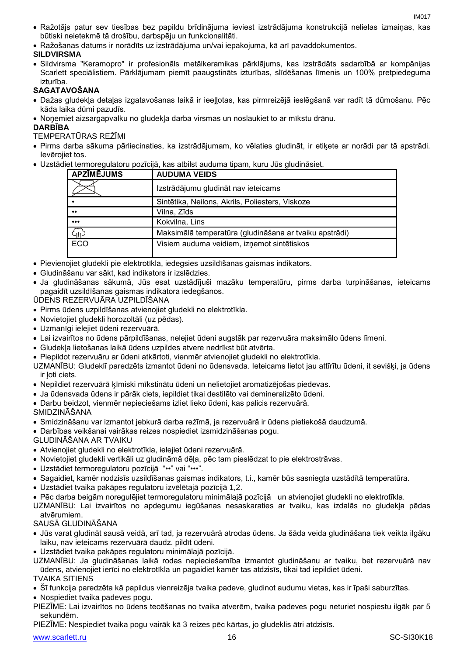- Ražotājs patur sev tiesības bez papildu brīdinājuma ieviest izstrādājuma konstrukcijā nelielas izmaiņas, kas būtiski neietekmē tā drošību, darbspēju un funkcionalitāti.
- Ražošanas datums ir norādīts uz izstrādājuma un/vai iepakojuma, kā arī pavaddokumentos.

# **SILDVIRSMA**

 Sildvirsma "Keramopro" ir profesionāls metālkeramikas pārklājums, kas izstrādāts sadarbībā ar kompānijas Scarlett speciālistiem. Pārklājumam piemīt paaugstināts izturības, slīdēšanas līmenis un 100% pretpiedeguma izturība.

# **SAGATAVOŠANA**

- Dažas gludekļa detaļas izgatavošanas laikā ir ieeļļotas, kas pirmreizējā ieslēgšanā var radīt tā dūmošanu. Pēc kāda laika dūmi pazudīs.
- Noņemiet aizsargapvalku no gludekļa darba virsmas un noslaukiet to ar mīkstu drānu.

# **DARBĪBA**

TEMPERATŪRAS REŽĪMI

- Pirms darba sākuma pārliecinaties, ka izstrādājumam, ko vēlaties gludināt, ir etiķete ar norādi par tā apstrādi. Ievērojiet tos.
- Uzstādiet termoregulatoru pozīcijā, kas atbilst auduma tipam, kuru Jūs gludināsiet.

| <b>APZĪMĒJUMS</b>       | <b>AUDUMA VEIDS</b>                                    |
|-------------------------|--------------------------------------------------------|
|                         | Izstrādājumu gludināt nav ieteicams                    |
|                         | Sintētika, Neilons, Akrils, Poliesters, Viskoze        |
| $\bullet\bullet$        | Vilna, Zīds                                            |
| $\bullet\bullet\bullet$ | Kokvilna, Lins                                         |
| $\zeta_{\rm III}$       | Maksimālā temperatūra (gludināšana ar tvaiku apstrādi) |
| <b>ECO</b>              | Visiem auduma veidiem, izņemot sintētiskos             |

- Pievienojiet gludekli pie elektrotīkla, iedegsies uzsildīšanas gaismas indikators.
- Gludināšanu var sākt, kad indikators ir izslēdzies.
- Ja gludināšanas sākumā, Jūs esat uzstādījuši mazāku temperatūru, pirms darba turpināšanas, ieteicams pagaidīt uzsildīšanas gaismas indikatora iedegšanos.
- ŪDENS REZERVUĀRA UZPILDĪŠANA
- Pirms ūdens uzpildīšanas atvienojiet gludekli no elektrotīkla.
- Novietojiet gludekli horozoltāli (uz pēdas).
- Uzmanīgi ielejiet ūdeni rezervuārā.
- Lai izvairītos no ūdens pārpildīšanas, nelejiet ūdeni augstāk par rezervuāra maksimālo ūdens līmeni.
- Gludekļa lietošanas laikā ūdens uzpildes atvere nedrīkst būt atvērta.
- Piepildot rezervuāru ar ūdeni atkārtoti, vienmēr atvienojiet gludekli no elektrotīkla.
- UZMANĪBU: Gludeklī paredzēts izmantot ūdeni no ūdensvada. Ieteicams lietot jau attīrītu ūdeni, it sevišķi, ja ūdens ir loti ciets.
- Nepildiet rezervuārā ķīmiski mīkstinātu ūdeni un nelietojiet aromatizējošas piedevas.
- Ja ūdensvada ūdens ir pārāk ciets, iepildiet tikai destilēto vai demineralizēto ūdeni.
- Darbu beidzot, vienmēr nepieciešams izliet lieko ūdeni, kas palicis rezervuārā.

# SMIDZINĀŠANA

- Smidzināšanu var izmantot jebkurā darba režīmā, ja rezervuārā ir ūdens pietiekošā daudzumā.
- Darbības veikšanai vairākas reizes nospiediet izsmidzināšanas pogu.

# GLUDINĀŠANA AR TVAIKU

- Atvienojiet gludekli no elektrotīkla, ielejiet ūdeni rezervuārā.
- Novietojiet gludekli vertikāli uz gludināmā dēļa, pēc tam pieslēdzat to pie elektrostrāvas.
- Uzstādiet termoregulatoru pozīcijā "••" vai "•••".
- Sagaidiet, kamēr nodzisīs uzsildīšanas gaismas indikators, t.i., kamēr būs sasniegta uzstādītā temperatūra.
- Uzstādiet tvaika pakāpes regulatoru izvēlētajā pozīcijā 1,2.
- Pēc darba beigām noregulējiet termoregulatoru minimālajā pozīcijā un atvienojiet gludekli no elektrotīkla.
- UZMANĪBU: Lai izvairītos no apdegumu iegūšanas nesaskaraties ar tvaiku, kas izdalās no gludekļa pēdas atvērumiem.

# SAUSĀ GLUDINĀŠANA

- Jūs varat gludināt sausā veidā, arī tad, ja rezervuārā atrodas ūdens. Ja šāda veida gludināšana tiek veikta ilgāku laiku, nav ieteicams rezervuārā daudz. pildīt ūdeni.
- Uzstādiet tvaika pakāpes regulatoru minimālajā pozīcijā.
- UZMANĪBU: Ja gludināšanas laikā rodas nepieciešamība izmantot gludināšanu ar tvaiku, bet rezervuārā nav ūdens, atvienojiet ierīci no elektrotīkla un pagaidiet kamēr tas atdzisīs, tikai tad iepildiet ūdeni.

TVAIKA SITIENS

Šī funkcija paredzēta kā papildus vienreizēja tvaika padeve, gludinot audumu vietas, kas ir īpaši saburzītas.

- Nospiediet tvaika padeves pogu.
- PIEZĪME: Lai izvairītos no ūdens tecēšanas no tvaika atverēm, tvaika padeves pogu neturiet nospiestu ilgāk par 5 sekundēm.
- PIEZĪME: Nespiediet tvaika pogu vairāk kā 3 reizes pēc kārtas, jo gludeklis ātri atdzisīs.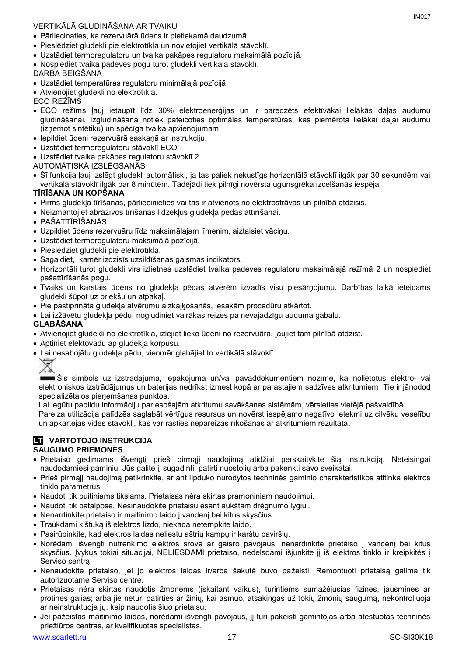# VERTIKĀLĀ GLUDINĀŠANA AR TVAIKU

- Pārliecinaties, ka rezervuārā ūdens ir pietiekamā daudzumā.
- Pieslēdziet gludekli pie elektrotīkla un novietojiet vertikālā stāvoklī.
- Uzstādiet termoregulatoru un tvaika pakāpes regulatoru maksimālā pozīcijā.
- Nospiediet tvaika padeves pogu turot gludekli vertikālā stāvoklī.

# DARBA BEIGŠANA

- Uzstādiet temperatūras regulatoru minimālajā pozīcijā.
- Atvienojiet gludekli no elektrotīkla.

ECO REŽĪMS

- ECO režīms ļauj ietaupīt līdz 30% elektroenerģijas un ir paredzēts efektīvākai lielākās daļas audumu gludināšanai. Izgludināšana notiek pateicoties optimālas temperatūras, kas piemērota lielākai daļai audumu (izņemot sintētiku) un spēcīga tvaika apvienojumam.
- Iepildiet ūdeni rezervuārā saskaņā ar instrukciju.
- Uzstādiet termoregulatoru stāvoklī ECO
- Uzstādiet tvaika pakāpes regulatoru stāvoklī 2.
- AUTOMĀTISKĀ IZSLĒGŠANĀS
- Šī funkcija ļauj izslēgt gludekli automātiski, ja tas paliek nekustīgs horizontālā stāvoklī ilgāk par 30 sekundēm vai vertikālā stāvoklī ilgāk par 8 minūtēm. Tādējādi tiek pilnīgi novērsta ugunsgrēka izcelšanās iespēja.

# **TĪRĪŠANA UN KOPŠANA**

- Pirms gludekļa tīrīšanas, pārliecinieties vai tas ir atvienots no elektrostrāvas un pilnībā atdzisis.
- Neizmantojiet abrazīvos tīrīšanas līdzekļus gludekļa pēdas attīrīšanai.
- PAŠATTĪRĪŠANĀS
- Uzpildiet ūdens rezervuāru līdz maksimālajam līmenim, aiztaisiet vāciņu.
- Uzstādiet termoregulatoru maksimālā pozīcijā.
- Pieslēdziet gludekli pie elektrotīkla.
- Sagaidiet, kamēr izdzisīs uzsildīšanas gaismas indikators.
- Horizontāli turot gludekli virs izlietnes uzstādiet tvaika padeves regulatoru maksimālajā režīmā 2 un nospiediet pašattīrīšanās pogu.
- Tvaiks un karstais ūdens no gludekļa pēdas atverēm izvadīs visu piesārņojumu. Darbības laikā ieteicams gludekli šūpot uz priekšu un atpakaļ.
- Pie pastiprināta gludekļa atvērumu aizkaļķošanās, iesakām procedūru atkārtot.
- Lai izžāvētu gludekļa pēdu, nogludiniet vairākas reizes pa nevajadzīgu auduma gabalu.

# **GLABĀŠANA**

- Atvienojiet gludekli no elektrotīkla, izlejiet lieko ūdeni no rezervuāra, ļaujiet tam pilnībā atdzist.
- Aptiniet elektovadu ap gludekļa korpusu.
- Lai nesabojātu gludekļa pēdu, vienmēr glabājiet to vertikālā stāvoklī.



Šis simbols uz izstrādājuma, iepakojuma un/vai pavaddokumentiem nozīmē, ka nolietotus elektro- vai elektroniskos izstrādājumus un baterijas nedrīkst izmest kopā ar parastajiem sadzīves atkritumiem. Tie ir jānodod specializētajos pieņemšanas punktos.

Lai iegūtu papildu informāciju par esošajām atkritumu savākšanas sistēmām, vērsieties vietējā pašvaldībā.

Pareiza utilizācija palīdzēs saglabāt vērtīgus resursus un novērst iespējamo negatīvo ietekmi uz cilvēku veselību un apkārtējās vides stāvokli, kas var rasties nepareizas rīkošanās ar atkritumiem rezultātā.

## **LT VARTOTOJO INSTRUKCIJA SAUGUMO PRIEMONĖS**

# Prietaiso gedimams išvengti prieš pirmąjį naudojimą atidžiai perskaitykite šią instrukciją. Neteisingai

- naudodamiesi gaminiu, Jūs galite jį sugadinti, patirti nuostolių arba pakenkti savo sveikatai. Prieš pirmąjį naudojimą patikrinkite, ar ant lipduko nurodytos techninės gaminio charakteristikos atitinka elektros tinklo parametrus.
- Naudoti tik buitiniams tikslams. Prietaisas nėra skirtas pramoniniam naudojimui.
- Naudoti tik patalpose. Nesinaudokite prietaisu esant aukštam drėgnumo lygiui.
- Nenardinkite prietaiso ir maitinimo laido į vandenį bei kitus skysčius.
- Traukdami kištuką iš elektros lizdo, niekada netempkite laido.
- Pasirūpinkite, kad elektros laidas neliestų aštrių kampų ir karštų paviršių.
- Norėdami išvengti nutrenkimo elektros srove ar gaisro pavojaus, nenardinkite prietaiso į vandenį bei kitus skysčius. Įvykus tokiai situacijai, NELIESDAMI prietaiso, nedelsdami išjunkite jį iš elektros tinklo ir kreipkitės į Serviso centrą.
- Nenaudokite prietaiso, jei jo elektros laidas ir/arba šakutė buvo pažeisti. Remontuoti prietaisą galima tik autorizuotame Serviso centre.
- Prietaisas nėra skirtas naudotis žmonėms (įskaitant vaikus), turintiems sumažėjusias fizines, jausmines ar protines galias; arba jie neturi patirties ar žinių, kai asmuo, atsakingas už tokių žmonių saugumą, nekontroliuoja ar neinstruktuoja jų, kaip naudotis šiuo prietaisu.
- Jei pažeistas maitinimo laidas, norėdami išvengti pavojaus, jį turi pakeisti gamintojas arba atestuotas techninės priežiūros centras, ar kvalifikuotas specialistas.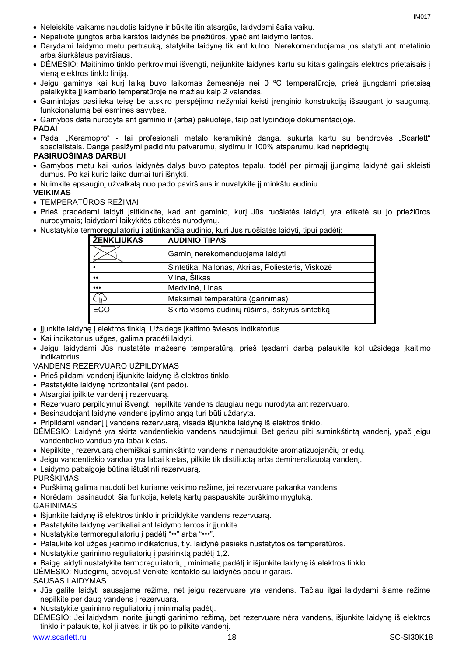- Neleiskite vaikams naudotis laidyne ir būkite itin atsargūs, laidydami šalia vaikų.
- Nepalikite įjungtos arba karštos laidynės be priežiūros, ypač ant laidymo lentos.
- Darydami laidymo metu pertrauką, statykite laidynę tik ant kulno. Nerekomenduojama jos statyti ant metalinio arba šiurkštaus paviršiaus.
- DĖMESIO: Maitinimo tinklo perkrovimui išvengti, neįjunkite laidynės kartu su kitais galingais elektros prietaisais į vieną elektros tinklo liniją.
- Jeigu gaminys kai kurį laiką buvo laikomas žemesnėje nei 0 ºC temperatūroje, prieš įjungdami prietaisą palaikykite jį kambario temperatūroje ne mažiau kaip 2 valandas.
- Gamintojas pasilieka teisę be atskiro perspėjimo nežymiai keisti įrenginio konstrukciją išsaugant jo saugumą, funkcionalumą bei esmines savybes.
- Gamybos data nurodyta ant gaminio ir (arba) pakuotėje, taip pat lydinčioje dokumentacijoje.

# **PADAI**

• Padai "Keramopro" - tai profesionali metalo keramikinė danga, sukurta kartu su bendrovės "Scarlett" specialistais. Danga pasižymi padidintu patvarumu, slydimu ir 100% atsparumu, kad nepridegtų.

# **PASIRUOŠIMAS DARBUI**

- Gamybos metu kai kurios laidynės dalys buvo pateptos tepalu, todėl per pirmąjį įjungimą laidynė gali skleisti dūmus. Po kai kurio laiko dūmai turi išnykti.
- Nuimkite apsauginį užvalkalą nuo pado paviršiaus ir nuvalykite jį minkštu audiniu.

# **VEIKIMAS**

TEMPERATŪROS REŽIMAI

- Prieš pradėdami laidyti įsitikinkite, kad ant gaminio, kurį Jūs ruošiatės laidyti, yra etiketė su jo priežiūros nurodymais; laidydami laikykitės etiketės nurodymų.
- Nustatykite termoreguliatorių į atitinkančią audinio, kuri Jūs ruošiatės laidyti, tipui padėtį:

| ŽENKLIUKAS              | <b>AUDINIO TIPAS</b>                               |
|-------------------------|----------------------------------------------------|
|                         | Gaminj nerekomenduojama laidyti                    |
|                         | Sintetika, Nailonas, Akrilas, Poliesteris, Viskozė |
| $^{\bullet}$            | Vilna, Šilkas                                      |
| $\bullet\bullet\bullet$ | Medvilnė, Linas                                    |
|                         | Maksimali temperatūra (garinimas)                  |
| ECO                     | Skirta visoms audinių rūšims, išskyrus sintetiką   |

- Jjunkite laidynę į elektros tinklą. Užsidegs įkaitimo šviesos indikatorius.
- Kai indikatorius užges, galima pradėti laidyti.
- Jeigu laidydami Jūs nustatėte mažesnę temperatūrą, prieš tęsdami darbą palaukite kol užsidegs įkaitimo indikatorius.

# VANDENS REZERVUARO UŽPILDYMAS

- Prieš pildami vandenį išjunkite laidynę iš elektros tinklo.
- Pastatykite laidynę horizontaliai (ant pado).
- Atsargiai įpilkite vandenį į rezervuarą.
- Rezervuaro perpildymui išvengti nepilkite vandens daugiau negu nurodyta ant rezervuaro.
- Besinaudojant laidyne vandens įpylimo angą turi būti uždaryta.
- Pripildami vandenį į vandens rezervuarą, visada išjunkite laidynę iš elektros tinklo.
- DĖMESIO: Laidynė yra skirta vandentiekio vandens naudojimui. Bet geriau pilti suminkštintą vandenį, ypač jeigu vandentiekio vanduo yra labai kietas.
- Nepilkite į rezervuarą chemiškai suminkštinto vandens ir nenaudokite aromatizuojančių priedų.
- Jeigu vandentiekio vanduo yra labai kietas, pilkite tik distiliuotą arba demineralizuotą vandenį.
- Laidymo pabaigoje būtina ištuštinti rezervuarą.
- PURŠKIMAS
- Purškimą galima naudoti bet kuriame veikimo režime, jei rezervuare pakanka vandens.
- Norėdami pasinaudoti šia funkcija, keletą kartų paspauskite purškimo mygtuką.

# GARINIMAS

- Išjunkite laidynę iš elektros tinklo ir pripildykite vandens rezervuarą.
- Pastatykite laidynę vertikaliai ant laidymo lentos ir įjunkite.
- Nustatykite termoreguliatorių į padėtį "••" arba "•••".
- Palaukite kol užges įkaitimo indikatorius, t.y. laidynė pasieks nustatytosios temperatūros.
- Nustatykite garinimo reguliatorių į pasirinktą padėtį 1,2.
- Baigę laidyti nustatykite termoreguliatorių į minimalią padėtį ir išjunkite laidynę iš elektros tinklo.
- DĖMESIO: Nudegimų pavojus! Venkite kontakto su laidynės padu ir garais.

# SAUSAS LAIDYMAS

- Jūs galite laidyti sausajame režime, net jeigu rezervuare yra vandens. Tačiau ilgai laidydami šiame režime nepilkite per daug vandens į rezervuarą.
- Nustatykite garinimo reguliatorių į minimalią padėtį.
- DĖMESIO: Jei laidydami norite įjungti garinimo režimą, bet rezervuare nėra vandens, išjunkite laidynę iš elektros tinklo ir palaukite, kol ji atvės, ir tik po to pilkite vandenį.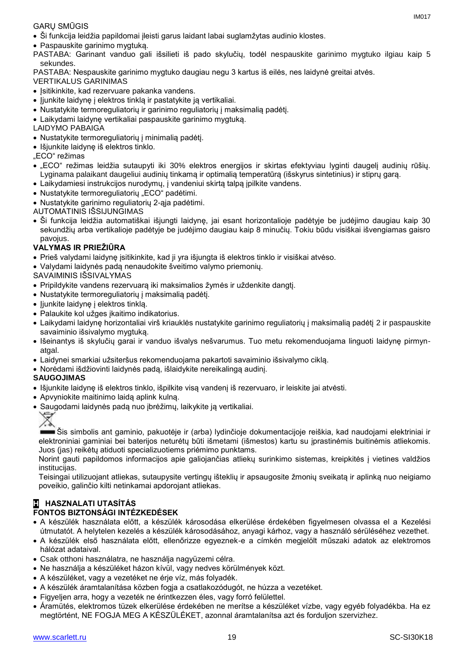# GARŲ SMŪGIS

- Ši funkcija leidžia papildomai įleisti garus laidant labai suglamžytas audinio klostes.
- Paspauskite garinimo mygtuką.
- PASTABA: Garinant vanduo gali išsilieti iš pado skylučių, todėl nespauskite garinimo mygtuko ilgiau kaip 5 sekundes.

PASTABA: Nespauskite garinimo mygtuko daugiau negu 3 kartus iš eilės, nes laidynė greitai atvės.

VERTIKALUS GARINIMAS

- Įsitikinkite, kad rezervuare pakanka vandens.
- Jjunkite laidynę į elektros tinklą ir pastatykite ją vertikaliai.
- Nustatykite termoreguliatorių ir garinimo reguliatorių į maksimalią padėtį.
- Laikydami laidynę vertikaliai paspauskite garinimo mygtuką.

LAIDYMO PABAIGA

- Nustatykite termoreguliatorių į minimalią padėtį.
- Išjunkite laidynę iš elektros tinklo.

"ECO" režimas

- "ECO" režimas leidžia sutaupyti iki 30% elektros energijos ir skirtas efektyviau lyginti daugelį audinių rūšių. Lyginama palaikant daugeliui audinių tinkamą ir optimalią temperatūrą (išskyrus sintetinius) ir stiprų garą.
- Laikydamiesi instrukcijos nurodymų, į vandeniui skirtą talpą įpilkite vandens.
- Nustatykite termoreguliatorių "ECO" padėtimi.
- Nustatykite garinimo reguliatorių 2-ąja padėtimi.

AUTOMATINIS IŠSIJUNGIMAS

 Ši funkcija leidžia automatiškai išjungti laidynę, jai esant horizontalioje padėtyje be judėjimo daugiau kaip 30 sekundžių arba vertikalioje padėtyje be judėjimo daugiau kaip 8 minučių. Tokiu būdu visiškai išvengiamas gaisro pavojus.

# **VALYMAS IR PRIEŽIŪRA**

- Prieš valydami laidynę įsitikinkite, kad ji yra išjungta iš elektros tinklo ir visiškai atvėso.
- Valydami laidynės padą nenaudokite šveitimo valymo priemonių.

SAVAIMINIS IŠSIVALYMAS

- Pripildykite vandens rezervuarą iki maksimalios žymės ir uždenkite dangtį.
- Nustatykite termoreguliatorių į maksimalią padėtį.
- ljunkite laidynę į elektros tinklą.
- Palaukite kol užges įkaitimo indikatorius.
- Laikydami laidynę horizontaliai virš kriauklės nustatykite garinimo reguliatorių į maksimalią padėtį 2 ir paspauskite savaiminio išsivalymo mygtuką.
- Išeinantys iš skylučių garai ir vanduo išvalys nešvarumus. Tuo metu rekomenduojama linguoti laidynę pirmynatgal.
- Laidynei smarkiai užsiteršus rekomenduojama pakartoti savaiminio išsivalymo ciklą.
- Norėdami išdžiovinti laidynės padą, išlaidykite nereikalingą audinį.

# **SAUGOJIMAS**

- Išjunkite laidynę iš elektros tinklo, išpilkite visą vandenį iš rezervuaro, ir leiskite jai atvėsti.
- Apvyniokite maitinimo laidą aplink kulną.
- Saugodami laidynės padą nuo įbrėžimų, laikykite ją vertikaliai.



Šis simbolis ant gaminio, pakuotėje ir (arba) lydinčioje dokumentacijoje reiškia, kad naudojami elektriniai ir elektroniniai gaminiai bei baterijos neturėtų būti išmetami (išmestos) kartu su įprastinėmis buitinėmis atliekomis. Juos (jas) reikėtų atiduoti specializuotiems priėmimo punktams.

Norint gauti papildomos informacijos apie galiojančias atliekų surinkimo sistemas, kreipkitės į vietines valdžios institucijas.

Teisingai utilizuojant atliekas, sutaupysite vertingų išteklių ir apsaugosite žmonių sveikatą ir aplinką nuo neigiamo poveikio, galinčio kilti netinkamai apdorojant atliekas.

# **H HASZNALATI UTASÍTÁS FONTOS BIZTONSÁGI INTÉZKEDÉSEK**

- A készülék használata előtt, a készülék károsodása elkerülése érdekében figyelmesen olvassa el a Kezelési útmutatót. A helytelen kezelés a készülék károsodásához, anyagi kárhoz, vagy a használó sérüléséhez vezethet.
- A készülék első használata előtt, ellenőrizze egyeznek-e a címkén megjelölt műszaki adatok az elektromos hálózat adataival.
- Csak otthoni használatra, ne használja nagyüzemi célra.
- Ne használja a készüléket házon kívül, vagy nedves körülmények közt.
- A készüléket, vagy a vezetéket ne érje víz, más folyadék.
- A készülék áramtalanítása közben fogja a csatlakozódugót, ne húzza a vezetéket.
- Figyeljen arra, hogy a vezeték ne érintkezzen éles, vagy forró felülettel.
- Áramütés, elektromos tüzek elkerülése érdekében ne merítse a készüléket vízbe, vagy egyéb folyadékba. Ha ez megtörtént, NE FOGJA MEG A KÉSZÜLÉKET, azonnal áramtalanítsa azt és forduljon szervizhez.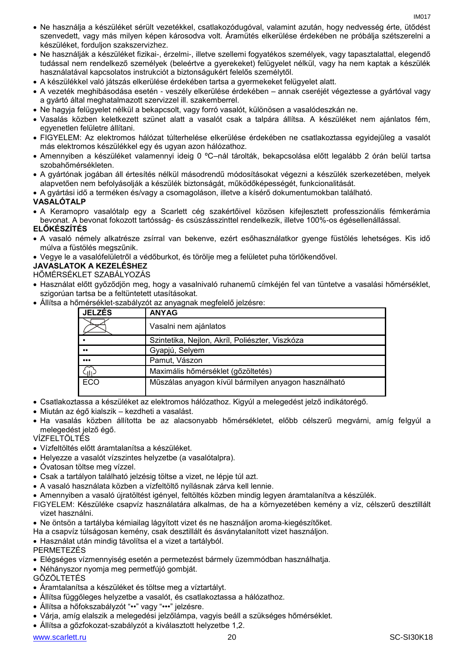- Ne használja a készüléket sérült vezetékkel, csatlakozódugóval, valamint azután, hogy nedvesség érte, ütődést szenvedett, vagy más milyen képen károsodva volt. Áramütés elkerülése érdekében ne próbálja szétszerelni a készüléket, forduljon szakszervizhez.
- Ne használják a készüléket fizikai-, érzelmi-, illetve szellemi fogyatékos személyek, vagy tapasztalattal, elegendő tudással nem rendelkező személyek (beleértve a gyerekeket) felügyelet nélkül, vagy ha nem kaptak a készülék használatával kapcsolatos instrukciót a biztonságukért felelős személytől.
- A készülékkel való játszás elkerülése érdekében tartsa a gyermekeket felügyelet alatt.
- A vezeték meghibásodása esetén veszély elkerülése érdekében annak cseréjét végeztesse a gyártóval vagy a gyártó által meghatalmazott szervizzel ill. szakemberrel.
- Ne hagyja felügyelet nélkül a bekapcsolt, vagy forró vasalót, különösen a vasalódeszkán ne.
- Vasalás közben keletkezett szünet alatt a vasalót csak a talpára állítsa. A készüléket nem ajánlatos fém, egyenetlen felületre állítani.
- FIGYELEM: Az elektromos hálózat túlterhelése elkerülése érdekében ne csatlakoztassa egyidejűleg a vasalót más elektromos készülékkel egy és ugyan azon hálózathoz.
- Amennyiben a készüléket valamennyi ideig 0 ºC–nál tárolták, bekapcsolása előtt legalább 2 órán belül tartsa szobahőmérsékleten.
- A gyártónak jogában áll értesítés nélkül másodrendű módosításokat végezni a készülék szerkezetében, melyek alapvetően nem befolyásolják a készülék biztonságát, működőképességét, funkcionalitását.
- A gyártási idő a terméken és/vagy a csomagoláson, illetve a kísérő dokumentumokban található.

## **VASALÓTALP**

 A Keramopro vasalótalp egy a Scarlett cég szakértőivel közösen kifejlesztett professzionális fémkerámia bevonat. A bevonat fokozott tartósság- és csúszásszinttel rendelkezik, illetve 100%-os égésellenállással.

# **ELŐKÉSZÍTÉS**

- A vasaló némely alkatrésze zsírral van bekenve, ezért esőhasználatkor gyenge füstölés lehetséges. Kis idő múlva a füstölés megszűnik.
- Vegye le a vasalófelületről a védőburkot, és törölje meg a felületet puha törlőkendővel.

# **JAVASLATOK A KEZELÉSHEZ**

HŐMÉRSÉKLET SZABÁLYOZÁS

- Használat előtt győződjön meg, hogy a vasalnivaló ruhanemű címkéjén fel van tüntetve a vasalási hőmérséklet, szigorúan tartsa be a feltüntetett utasításokat.
- Állítsa a hőmérséklet-szabályzót az anyagnak megfelelő jelzésre:

| <b>JELZÉS</b>           | <b>ANYAG</b>                                         |
|-------------------------|------------------------------------------------------|
|                         | Vasalni nem ajánlatos                                |
|                         | Szintetika, Nejlon, Akríl, Poliészter, Viszkóza      |
| $\bullet\bullet$        | Gyapjú, Selyem                                       |
| $\bullet\bullet\bullet$ | Pamut, Vászon                                        |
|                         | Maximális hőmérséklet (gőzöltetés)                   |
| ECO                     | Műszálas anyagon kívül bármilyen anyagon használható |

- Csatlakoztassa a készüléket az elektromos hálózathoz. Kigyúl a melegedést jelző indikátorégő.
- Miután az égő kialszik kezdheti a vasalást.
- Ha vasalás közben állította be az alacsonyabb hőmérsékletet, előbb célszerű megvárni, amíg felgyúl a melegedést jelző égő.

VÍZFELTÖLTÉS

- Vízfeltöltés előtt áramtalanítsa a készüléket.
- Helyezze a vasalót vízszintes helyzetbe (a vasalótalpra).
- Óvatosan töltse meg vízzel.
- Csak a tartályon található jelzésig töltse a vizet, ne lépje túl azt.
- A vasaló használata közben a vízfeltöltő nyílásnak zárva kell lennie.
- Amennyiben a vasaló újratöltést igényel, feltöltés közben mindig legyen áramtalanítva a készülék.
- FIGYELEM: Készüléke csapvíz használatára alkalmas, de ha a környezetében kemény a víz, célszerű desztillált vizet használni.
- Ne öntsön a tartályba kémiailag lágyított vizet és ne használjon aroma-kiegészítőket.
- Ha a csapvíz túlságosan kemény, csak desztillált és ásványtalanított vizet használjon.
- Használat után mindig távolítsa el a vizet a tartályból.

PERMETEZÉS

- Elégséges vízmennyiség esetén a permetezést bármely üzemmódban használhatja.
- Néhányszor nyomja meg permetfújó gombját.

GŐZÖLTETÉS

- Áramtalanítsa a készüléket és töltse meg a víztartályt.
- Állítsa függőleges helyzetbe a vasalót, és csatlakoztassa a hálózathoz.
- Állítsa a hőfokszabályzót "••" vagy "•••" jelzésre.
- Várja, amíg elalszik a melegedési jelzőlámpa, vagyis beáll a szükséges hőmérséklet.
- Állítsa a gőzfokozat-szabályzót a kiválasztott helyzetbe 1,2.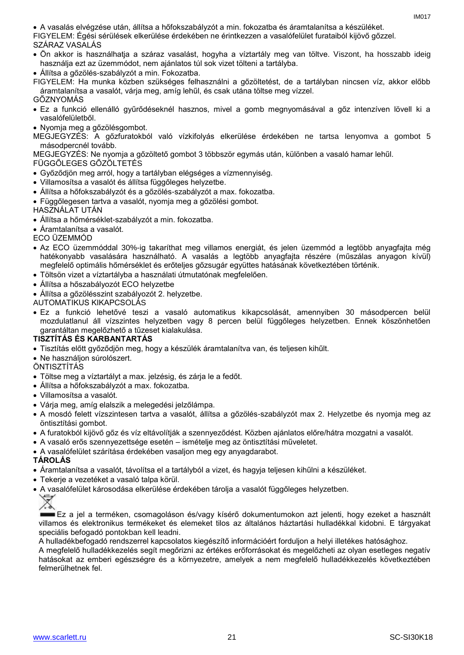A vasalás elvégzése után, állítsa a hőfokszabályzót a min. fokozatba és áramtalanítsa a készüléket.

FIGYELEM: Égési sérülések elkerülése érdekében ne érintkezzen a vasalófelület furataiból kijövő gőzzel.

### SZÁRAZ VASALÁS

- Ön akkor is használhatja a száraz vasalást, hogyha a víztartály meg van töltve. Viszont, ha hosszabb ideig használja ezt az üzemmódot, nem ajánlatos túl sok vizet tölteni a tartályba.
- Állítsa a gőzölés-szabályzót a min. Fokozatba.

FIGYELEM: Ha munka közben szükséges felhasználni a gőzöltetést, de a tartályban nincsen víz, akkor előbb áramtalanítsa a vasalót, várja meg, amíg lehűl, és csak utána töltse meg vízzel.

#### GŐZNYOMÁS Ez a funkció ellenálló gyűrődéseknél hasznos, mivel a gomb megnyomásával a gőz intenzíven lövell ki a vasalófelületből.

- Nyomja meg a gőzölésgombot.
- MEGJEGYZÉS: A gőzfuratokból való vízkifolyás elkerülése érdekében ne tartsa lenyomva a gombot 5 másodpercnél tovább.

MEGJEGYZÉS: Ne nyomja a gőzöltető gombot 3 többször egymás után, különben a vasaló hamar lehűl.

# FÜGGŐLEGES GŐZÖLTETÉS

- Győződjön meg arról, hogy a tartályban elégséges a vízmennyiség.
- Villamosítsa a vasalót és állítsa függőleges helyzetbe.
- Állítsa a hőfokszabályzót és a gőzölés-szabályzót a max. fokozatba.
- Függőlegesen tartva a vasalót, nyomja meg a gőzölési gombot.

# HASZNÁLAT UTÁN

- Állítsa a hőmérséklet-szabályzót a min. fokozatba.
- Áramtalanítsa a vasalót.

# ECO ÜZEMMÓD

- Az ECO üzemmóddal 30%-ig takaríthat meg villamos energiát, és jelen üzemmód a legtöbb anyagfajta még hatékonyabb vasalására használható. A vasalás a legtöbb anyagfajta részére (műszálas anyagon kívül) megfelelő optimális hőmérséklet és erőteljes gőzsugár együttes hatásának következtében történik.
- Töltsön vizet a víztartályba a használati útmutatónak megfelelően.
- Állítsa a hőszabályozót ECO helyzetbe
- Állítsa a gőzölésszint szabályozót 2. helyzetbe.

# AUTOMATIKUS KIKAPCSOLÁS

 Ez a funkció lehetővé teszi a vasaló automatikus kikapcsolását, amennyiben 30 másodpercen belül mozdulatlanul áll vízszintes helyzetben vagy 8 percen belül függőleges helyzetben. Ennek köszönhetően garantáltan megelőzhető a tűzeset kialakulása.

# **TISZTÍTÁS ÉS KARBANTARTÁS**

- Tisztítás előtt győződjön meg, hogy a készülék áramtalanítva van, és teljesen kihűlt.
- Ne használion súrolószert.

# ÖNTISZTÍTÁS

- Töltse meg a víztartályt a max. jelzésig, és zárja le a fedőt.
- Állítsa a hőfokszabályzót a max. fokozatba.
- Villamosítsa a vasalót.
- Várja meg, amíg elalszik a melegedési jelzőlámpa.
- A mosdó felett vízszintesen tartva a vasalót, állítsa a gőzölés-szabályzót max 2. Helyzetbe és nyomja meg az öntisztítási gombot.
- A furatokból kijövő gőz és víz eltávolítják a szennyeződést. Közben ajánlatos előre/hátra mozgatni a vasalót.
- A vasaló erős szennyezettsége esetén ismételje meg az öntisztítási műveletet.
- A vasalófelület szárítása érdekében vasaljon meg egy anyagdarabot.

# **TÁROLÁS**

- Áramtalanítsa a vasalót, távolítsa el a tartályból a vizet, és hagyja teljesen kihűlni a készüléket.
- Tekerje a vezetéket a vasaló talpa körül.
- A vasalófelület károsodása elkerülése érdekében tárolja a vasalót függőleges helyzetben.



Ez a jel a terméken, csomagoláson és/vagy kísérő dokumentumokon azt jelenti, hogy ezeket a használt villamos és elektronikus termékeket és elemeket tilos az általános háztartási hulladékkal kidobni. E tárgyakat speciális befogadó pontokban kell leadni.

A hulladékbefogadó rendszerrel kapcsolatos kiegészítő információért forduljon a helyi illetékes hatósághoz.

A megfelelő hulladékkezelés segít megőrizni az értékes erőforrásokat és megelőzheti az olyan esetleges negatív hatásokat az emberi egészségre és a környezetre, amelyek a nem megfelelő hulladékkezelés következtében felmerülhetnek fel.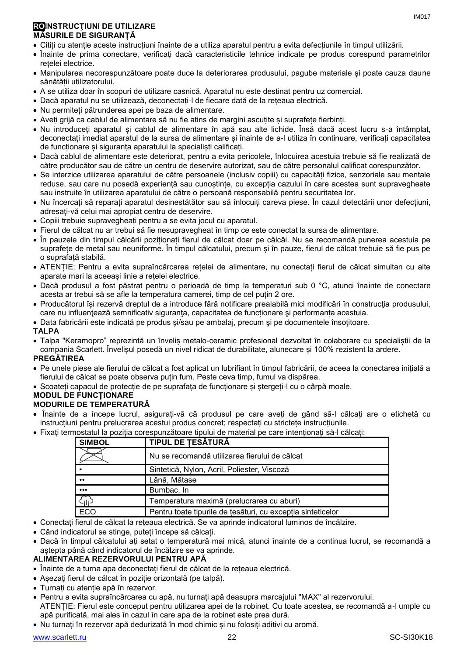# **ROINSTRUCŢIUNI DE UTILIZARE MĂSURILE DE SIGURANȚĂ**

- Citiți cu atenție aceste instrucțiuni înainte de a utiliza aparatul pentru a evita defecțiunile în timpul utilizării.
- Înainte de prima conectare, verificați dacă caracteristicile tehnice indicate pe produs corespund parametrilor rețelei electrice.
- Manipularea necorespunzătoare poate duce la deteriorarea produsului, pagube materiale și poate cauza daune sănătății utilizatorului.
- A se utiliza doar în scopuri de utilizare casnică. Aparatul nu este destinat pentru uz comercial.
- Dacă aparatul nu se utilizează, deconectați-l de fiecare dată de la rețeaua electrică.
- Nu permiteți pătrunderea apei pe baza de alimentare.
- Aveți grijă ca cablul de alimentare să nu fie atins de margini ascuțite și suprafețe fierbinți.
- Nu introduceți aparatul și cablul de alimentare în apă sau alte lichide. Însă dacă acest lucru s-a întâmplat, deconectați imediat aparatul de la sursa de alimentare și înainte de a-l utiliza în continuare, verificați capacitatea de funcționare și siguranța aparatului la specialiști calificați.
- Dacă cablul de alimentare este deteriorat, pentru a evita pericolele, înlocuirea acestuia trebuie să fie realizată de către producător sau de către un centru de deservire autorizat, sau de către personalul calificat corespunzător.
- Se interzice utilizarea aparatului de către persoanele (inclusiv copiii) cu capacități fizice, senzoriale sau mentale reduse, sau care nu posedă experiență sau cunoștințe, cu excepția cazului în care acestea sunt supravegheate sau instruite în utilizarea aparatului de către o persoană responsabilă pentru securitatea lor.
- Nu încercați să reparați aparatul desinestătător sau să înlocuiți careva piese. În cazul detectării unor defecțiuni, adresați-vă celui mai apropiat centru de deservire.
- Copiii trebuie supravegheați pentru a se evita jocul cu aparatul.
- Fierul de călcat nu ar trebui să fie nesupravegheat în timp ce este conectat la sursa de alimentare.
- În pauzele din timpul călcării poziționați fierul de călcat doar pe călcâi. Nu se recomandă punerea acestuia pe suprafețe de metal sau neuniforme. În timpul călcatului, precum și în pauze, fierul de călcat trebuie să fie pus pe o suprafață stabilă.
- ATENȚIE: Pentru a evita supraîncărcarea rețelei de alimentare, nu conectați fierul de călcat simultan cu alte aparate mari la aceeași linie a rețelei electrice.
- Dacă produsul a fost păstrat pentru o perioadă de timp la temperaturi sub 0 °C, atunci înainte de conectare acesta ar trebui să se afle la temperatura camerei, timp de cel puțin 2 ore.
- Producătorul își rezervă dreptul de a introduce fără notificare prealabilă mici modificări în construcţia produsului, care nu influențează semnificativ siguranța, capacitatea de funcționare și performanța acestuia.
- Data fabricării este indicată pe produs si/sau pe ambalai, precum și pe documentele însotitoare.

# **TALPA**

 Talpa "Keramopro" reprezintă un înveliș metalo-ceramic profesional dezvoltat în colaborare cu specialiștii de la compania Scarlett. Învelișul posedă un nivel ridicat de durabilitate, alunecare și 100% rezistent la ardere.

#### **PREGĂTIREA**

- Pe unele piese ale fierului de călcat a fost aplicat un lubrifiant în timpul fabricării, de aceea la conectarea inițială a fierului de călcat se poate observa puțin fum. Peste ceva timp, fumul va dispărea.
- Scoateți capacul de protecție de pe suprafața de funcționare și ștergeți-l cu o cârpă moale.

#### **MODUL DE FUNCȚIONARE MODURILE DE TEMPERATURĂ**

- 
- Înainte de a începe lucrul, asigurați-vă că produsul pe care aveți de gând să-l călcați are o etichetă cu instrucțiuni pentru prelucrarea acestui produs concret; respectați cu strictețe instrucțiunile.
- Fixați termostatul la poziția corespunzătoare tipului de material pe care intenționați să-l călcați:

| <b>SIMBOL</b>           | <b>TIPUL DE TESĂTURĂ</b>                                    |
|-------------------------|-------------------------------------------------------------|
|                         | Nu se recomandă utilizarea fierului de călcat               |
|                         | Sintetică, Nylon, Acril, Poliester, Viscoză                 |
| $\bullet\bullet$        | Lână, Mătase                                                |
| $\bullet\bullet\bullet$ | Bumbac, In                                                  |
| Հ <sub>III</sub> >      | Temperatura maximă (prelucrarea cu aburi)                   |
| ECO                     | Pentru toate tipurile de tesături, cu excepția sinteticelor |

- Conectați fierul de călcat la rețeaua electrică. Se va aprinde indicatorul luminos de încălzire.
- Când indicatorul se stinge, puteți începe să călcați.
- Dacă în timpul călcatului ați setat o temperatură mai mică, atunci înainte de a continua lucrul, se recomandă a aștepta până când indicatorul de încălzire se va aprinde.

# **ALIMENTAREA REZERVORULUI PENTRU APĂ**

- Înainte de a turna apa deconectați fierul de călcat de la rețeaua electrică.
- Așezați fierul de călcat în poziție orizontală (pe talpă).
- Turnați cu atenție apă în rezervor.
- Pentru a evita supraîncărcarea cu apă, nu turnați apă deasupra marcajului "MAX" al rezervorului. ATENȚIE: Fierul este conceput pentru utilizarea apei de la robinet. Cu toate acestea, se recomandă a-l umple cu apă purificată, mai ales în cazul în care apa de la robinet este prea dură.
- Nu turnați în rezervor apă dedurizată în mod chimic și nu folosiți aditivi cu aromă.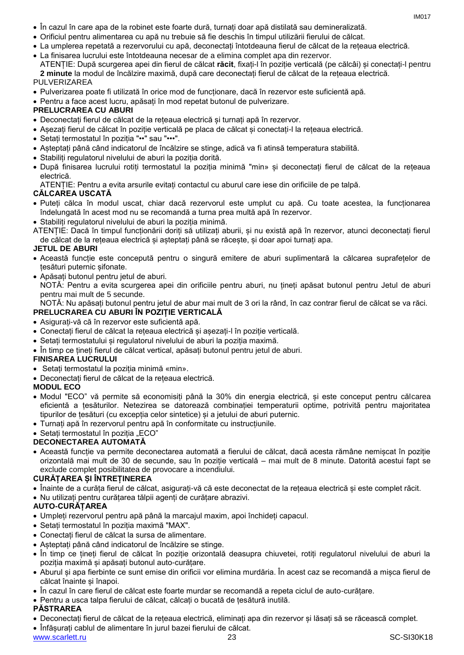- În cazul în care apa de la robinet este foarte dură, turnați doar apă distilată sau demineralizată.
- Orificiul pentru alimentarea cu apă nu trebuie să fie deschis în timpul utilizării fierului de călcat.
- La umplerea repetată a rezervorului cu apă, deconectați întotdeauna fierul de călcat de la rețeaua electrică.
- La finisarea lucrului este întotdeauna necesar de a elimina complet apa din rezervor. ATENȚIE: După scurgerea apei din fierul de călcat **răcit**, fixați-l în poziție verticală (pe călcâi) și conectați-l pentru **2 minute** la modul de încălzire maximă, după care deconectați fierul de călcat de la rețeaua electrică.

# PULVERIZAREA

- Pulverizarea poate fi utilizată în orice mod de funcționare, dacă în rezervor este suficientă apă.
- Pentru a face acest lucru, apăsați în mod repetat butonul de pulverizare.

# **PRELUCRAREA CU ABURI**

- Deconectați fierul de călcat de la rețeaua electrică și turnați apă în rezervor.
- Așezați fierul de călcat în poziție verticală pe placa de călcat și conectați-l la rețeaua electrică.
- Setați termostatul în poziția "••" sau "•••".
- Așteptați până când indicatorul de încălzire se stinge, adică va fi atinsă temperatura stabilită.
- Stabiliți regulatorul nivelului de aburi la poziția dorită.
- După finisarea lucrului rotiți termostatul la poziția minimă "min» și deconectați fierul de călcat de la rețeaua electrică.

ATENȚIE: Pentru a evita arsurile evitați contactul cu aburul care iese din orificiile de pe talpă.

# **CĂLCAREA USCATĂ**

- Puteți călca în modul uscat, chiar dacă rezervorul este umplut cu apă. Cu toate acestea, la funcționarea îndelungată în acest mod nu se recomandă a turna prea multă apă în rezervor.
- Stabiliți regulatorul nivelului de aburi la poziția minimă.
- ATENȚIE: Dacă în timpul funcționării doriți să utilizați aburii, și nu există apă în rezervor, atunci deconectați fierul de călcat de la rețeaua electrică și așteptați până se răcește, și doar apoi turnați apa.

# **JETUL DE ABURI**

- Această funcție este concepută pentru o singură emitere de aburi suplimentară la călcarea suprafețelor de țesături puternic șifonate.
- Apăsați butonul pentru jetul de aburi.
- NOTĂ: Pentru a evita scurgerea apei din orificiile pentru aburi, nu țineți apăsat butonul pentru Jetul de aburi pentru mai mult de 5 secunde.

NOTĂ: Nu apăsați butonul pentru jetul de abur mai mult de 3 ori la rând, în caz contrar fierul de călcat se va răci.

# **PRELUCRAREA CU ABURI ÎN POZIȚIE VERTICALĂ**

- Asigurați-vă că în rezervor este suficientă apă.
- Conectați fierul de călcat la rețeaua electrică și așezați-l în poziție verticală.
- Setați termostatului și regulatorul nivelului de aburi la poziția maximă.
- În timp ce țineți fierul de călcat vertical, apăsați butonul pentru jetul de aburi.

# **FINISAREA LUCRULUI**

- Setați termostatul la poziția minimă «min».
- Deconectați fierul de călcat de la rețeaua electrică.

# **MODUL ECO**

- Modul "ECO" vă permite să economisiți până la 30% din energia electrică, și este conceput pentru călcarea eficientă a țesăturilor. Netezirea se datorează combinației temperaturii optime, potrivită pentru majoritatea tipurilor de țesături (cu excepția celor sintetice) și a jetului de aburi puternic.
- Turnați apă în rezervorul pentru apă în conformitate cu instrucțiunile.
- Setați termostatul în poziția "ECO"

# **DECONECTAREA AUTOMATĂ**

 Această funcție va permite deconectarea automată a fierului de călcat, dacă acesta rămâne nemișcat în poziție orizontală mai mult de 30 de secunde, sau în poziție verticală – mai mult de 8 minute. Datorită acestui fapt se exclude complet posibilitatea de provocare a incendiului.

# **CURĂȚAREA ȘI ÎNTREȚINEREA**

- Înainte de a curăța fierul de călcat, asigurați-vă că este deconectat de la rețeaua electrică și este complet răcit.
- Nu utilizați pentru curățarea tălpii agenți de curățare abrazivi.

# **AUTO-CURĂȚAREA**

- Umpleți rezervorul pentru apă până la marcajul maxim, apoi închideți capacul.
- Setați termostatul în poziția maximă "MAX".
- Conectați fierul de călcat la sursa de alimentare.
- Așteptați până când indicatorul de încălzire se stinge.
- · În timp ce tineți fierul de călcat în poziție orizontală deasupra chiuvetei, rotiți regulatorul nivelului de aburi la poziția maximă și apăsați butonul auto-curățare.
- Aburul și apa fierbinte ce sunt emise din orificii vor elimina murdăria. În acest caz se recomandă a mișca fierul de călcat înainte și înapoi.
- În cazul în care fierul de călcat este foarte murdar se recomandă a repeta ciclul de auto-curățare.
- Pentru a usca talpa fierului de călcat, călcați o bucată de țesătură inutilă.

# **PĂSTRAREA**

Deconectați fierul de călcat de la rețeaua electrică, eliminați apa din rezervor și lăsați să se răcească complet.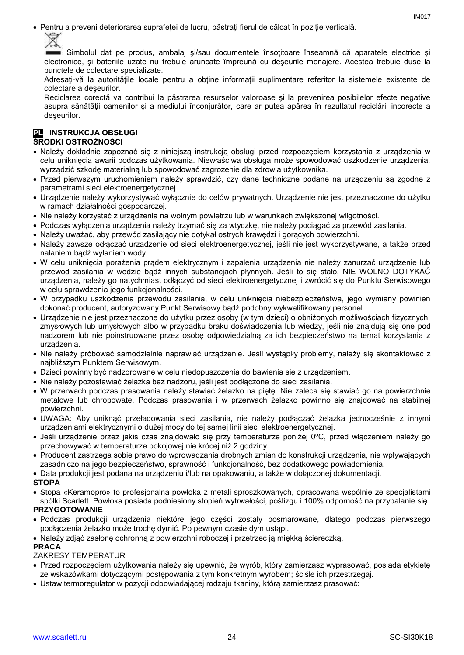Pentru a preveni deteriorarea suprafeței de lucru, păstrați fierul de călcat în poziție verticală.

IM017

Simbolul dat pe produs, ambalaj si/sau documentele însotitoare înseamnă că aparatele electrice și electronice, şi bateriile uzate nu trebuie aruncate împreună cu deşeurile menajere. Acestea trebuie duse la punctele de colectare specializate.

Adresaţi-vă la autorităţile locale pentru a obţine informaţii suplimentare referitor la sistemele existente de colectare a deşeurilor.

Reciclarea corectă va contribui la păstrarea resurselor valoroase şi la prevenirea posibilelor efecte negative asupra sănătăţii oamenilor şi a mediului înconjurător, care ar putea apărea în rezultatul reciclării incorecte a deşeurilor.

# **PL** INSTRUKCJA OBSŁUGI **ŚRODKI OSTROŻNOŚCI**

- Należy dokładnie zapoznać się z niniejszą instrukcją obsługi przed rozpoczęciem korzystania z urządzenia w celu uniknięcia awarii podczas użytkowania. Niewłaściwa obsługa może spowodować uszkodzenie urządzenia, wyrządzić szkodę materialną lub spowodować zagrożenie dla zdrowia użytkownika.
- Przed pierwszym uruchomieniem należy sprawdzić, czy dane techniczne podane na urządzeniu są zgodne z parametrami sieci elektroenergetycznej.
- Urządzenie należy wykorzystywać wyłącznie do celów prywatnych. Urządzenie nie jest przeznaczone do użytku w ramach działalności gospodarczej.
- Nie należy korzystać z urządzenia na wolnym powietrzu lub w warunkach zwiększonej wilgotności.
- Podczas wyłączenia urządzenia należy trzymać się za wtyczkę, nie należy pociągać za przewód zasilania.
- Należy uważać, aby przewód zasilający nie dotykał ostrych krawędzi i gorących powierzchni.
- Należy zawsze odłączać urządzenie od sieci elektroenergetycznej, jeśli nie jest wykorzystywane, a także przed nalaniem bądź wylaniem wody.
- W celu uniknięcia porażenia prądem elektrycznym i zapalenia urządzenia nie należy zanurzać urządzenie lub przewód zasilania w wodzie bądź innych substancjach płynnych. Jeśli to się stało, NIE WOLNO DOTYKAĆ urządzenia, należy go natychmiast odłączyć od sieci elektroenergetycznej i zwrócić się do Punktu Serwisowego w celu sprawdzenia jego funkcjonalności.
- W przypadku uszkodzenia przewodu zasilania, w celu uniknięcia niebezpieczeństwa, jego wymiany powinien dokonać producent, autoryzowany Punkt Serwisowy bądź podobny wykwalifikowany personel.
- Urządzenie nie jest przeznaczone do użytku przez osoby (w tym dzieci) o obniżonych możliwościach fizycznych, zmysłowych lub umysłowych albo w przypadku braku doświadczenia lub wiedzy, jeśli nie znajdują się one pod nadzorem lub nie poinstruowane przez osobę odpowiedzialną za ich bezpieczeństwo na temat korzystania z urządzenia.
- Nie należy próbować samodzielnie naprawiać urządzenie. Jeśli wystąpiły problemy, należy się skontaktować z najbliższym Punktem Serwisowym.
- Dzieci powinny być nadzorowane w celu niedopuszczenia do bawienia się z urządzeniem.
- Nie należy pozostawiać żelazka bez nadzoru, jeśli jest podłączone do sieci zasilania.
- W przerwach podczas prasowania należy stawiać żelazko na piętę. Nie zaleca się stawiać go na powierzchnie metalowe lub chropowate. Podczas prasowania i w przerwach żelazko powinno się znajdować na stabilnej powierzchni.
- UWAGA: Aby uniknąć przeładowania sieci zasilania, nie należy podłączać żelazka jednocześnie z innymi urządzeniami elektrycznymi o dużej mocy do tej samej linii sieci elektroenergetycznej.
- Jeśli urządzenie przez jakiś czas znajdowało się przy temperaturze poniżej 0ºC, przed włączeniem należy go przechowywać w temperaturze pokojowej nie krócej niż 2 godziny.
- Producent zastrzega sobie prawo do wprowadzania drobnych zmian do konstrukcji urządzenia, nie wpływających zasadniczo na jego bezpieczeństwo, sprawność i funkcjonalność, bez dodatkowego powiadomienia.
- Data produkcji jest podana na urządzeniu i/lub na opakowaniu, a także w dołączonej dokumentacji.

# **STOPA**

 Stopa «Keramopro» to profesjonalna powłoka z metali sproszkowanych, opracowana wspólnie ze specjalistami spółki Scarlett. Powłoka posiada podniesiony stopień wytrwałości, poślizgu i 100% odporność na przypalanie się. **PRZYGOTOWANIE**

# Podczas produkcji urządzenia niektóre jego części zostały posmarowane, dlatego podczas pierwszego podłączenia żelazko może trochę dymić. Po pewnym czasie dym ustąpi.

Należy zdjąć zasłonę ochronną z powierzchni roboczej i przetrzeć ją miękką ściereczką.

# **PRACA**

# ZAKRESY TEMPERATUR

- Przed rozpoczęciem użytkowania należy się upewnić, że wyrób, który zamierzasz wyprasować, posiada etykietę ze wskazówkami dotyczącymi postępowania z tym konkretnym wyrobem; ściśle ich przestrzegaj.
- Ustaw termoregulator w pozycji odpowiadającej rodzaju tkaniny, którą zamierzasz prasować: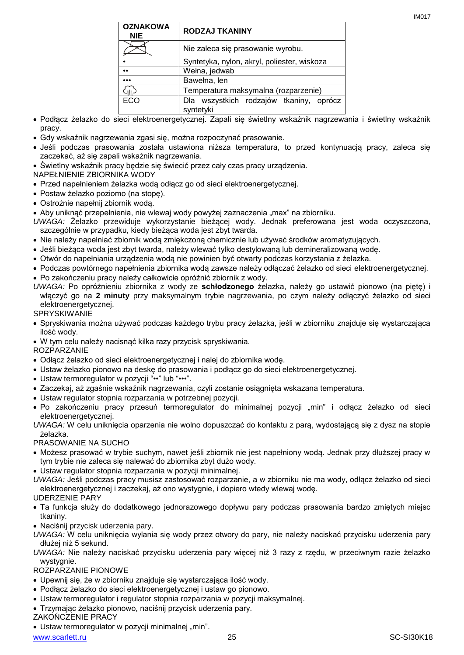IM017

| <b>OZNAKOWA</b><br><b>NIE</b> | <b>RODZAJ TKANINY</b>                                |
|-------------------------------|------------------------------------------------------|
|                               | Nie zaleca się prasowanie wyrobu.                    |
|                               | Syntetyka, nylon, akryl, poliester, wiskoza          |
| $\bullet \bullet$             | Wełna, jedwab                                        |
|                               | Bawełna, len                                         |
|                               | Temperatura maksymalna (rozparzenie)                 |
| <b>ECO</b>                    | Dla wszystkich rodzajów tkaniny, oprócz<br>syntetyki |
|                               |                                                      |

- Podłącz żelazko do sieci elektroenergetycznej. Zapali się świetlny wskaźnik nagrzewania i świetlny wskaźnik pracy.
- Gdy wskaźnik nagrzewania zgasi się, można rozpoczynać prasowanie.
- Jeśli podczas prasowania została ustawiona niższa temperatura, to przed kontynuacją pracy, zaleca się zaczekać, aż się zapali wskaźnik nagrzewania.
- Świetlny wskaźnik pracy będzie się świecić przez cały czas pracy urządzenia.
- NAPEŁNIENIE ZBIORNIKA WODY
- Przed napełnieniem żelazka wodą odłącz go od sieci elektroenergetycznej.
- Postaw żelazko poziomo (na stopę).
- Ostrożnie napełnij zbiornik wodą.
- Aby uniknąć przepełnienia, nie wlewaj wody powyżej zaznaczenia "max" na zbiorniku.
- *UWAGA:* Żelazko przewiduje wykorzystanie bieżącej wody. Jednak preferowana jest woda oczyszczona, szczególnie w przypadku, kiedy bieżąca woda jest zbyt twarda.
- Nie należy napełniać zbiornik wodą zmiękczoną chemicznie lub używać środków aromatyzujących.
- Jeśli bieżąca woda jest zbyt twarda, należy wlewać tylko destylowaną lub demineralizowaną wodę.
- Otwór do napełniania urządzenia wodą nie powinien być otwarty podczas korzystania z żelazka.
- Podczas powtórnego napełnienia zbiornika wodą zawsze należy odłączać żelazko od sieci elektroenergetycznej.
- Po zakończeniu pracy należy całkowicie opróżnić zbiornik z wody.
- *UWAGA:* Po opróżnieniu zbiornika z wody ze **schłodzonego** żelazka, należy go ustawić pionowo (na piętę) i włączyć go na **2 minuty** przy maksymalnym trybie nagrzewania, po czym należy odłączyć żelazko od sieci elektroenergetycznej.

**SPRYSKIWANIE** 

- Spryskiwania można używać podczas każdego trybu pracy żelazka, jeśli w zbiorniku znajduje się wystarczająca ilość wody.
- W tym celu należy nacisnąć kilka razy przycisk spryskiwania.

ROZPARZANIE

- Odłącz żelazko od sieci elektroenergetycznej i nalej do zbiornika wodę.
- Ustaw żelazko pionowo na deskę do prasowania i podłącz go do sieci elektroenergetycznej.
- Ustaw termoregulator w pozycji "••" lub "•••".
- Zaczekaj, aż zgaśnie wskaźnik nagrzewania, czyli zostanie osiągnięta wskazana temperatura.
- Ustaw regulator stopnia rozparzania w potrzebnej pozycji.
- Po zakończeniu pracy przesuń termoregulator do minimalnej pozycji "min" i odłącz żelazko od sieci elektroenergetycznej.
- *UWAGA:* W celu uniknięcia oparzenia nie wolno dopuszczać do kontaktu z parą, wydostającą się z dysz na stopie żelazka.

# PRASOWANIE NA SUCHO

- Możesz prasować w trybie suchym, nawet jeśli zbiornik nie jest napełniony wodą. Jednak przy dłuższej pracy w tym trybie nie zaleca się nalewać do zbiornika zbyt dużo wody.
- Ustaw regulator stopnia rozparzania w pozycji minimalnej.
- *UWAGA:* Jeśli podczas pracy musisz zastosować rozparzanie, a w zbiorniku nie ma wody, odłącz żelazko od sieci elektroenergetycznej i zaczekaj, aż ono wystygnie, i dopiero wtedy wlewaj wodę.

# UDERZENIE PARY

- Ta funkcja służy do dodatkowego jednorazowego dopływu pary podczas prasowania bardzo zmiętych miejsc tkaniny.
- Naciśnij przycisk uderzenia pary.
- *UWAGA:* W celu uniknięcia wylania się wody przez otwory do pary, nie należy naciskać przycisku uderzenia pary dłużej niż 5 sekund.
- *UWAGA:* Nie należy naciskać przycisku uderzenia pary więcej niż 3 razy z rzędu, w przeciwnym razie żelazko wystygnie.

ROZPARZANIE PIONOWE

- Upewnij się, że w zbiorniku znajduje się wystarczająca ilość wody.
- Podłącz żelazko do sieci elektroenergetycznej i ustaw go pionowo.
- Ustaw termoregulator i regulator stopnia rozparzania w pozycji maksymalnej.
- Trzymając żelazko pionowo, naciśnij przycisk uderzenia pary.

ZAKOŃCZENIE PRACY

• Ustaw termoregulator w pozycji minimalnej "min".

www.scarlett.ru 25 SC-SI30K18